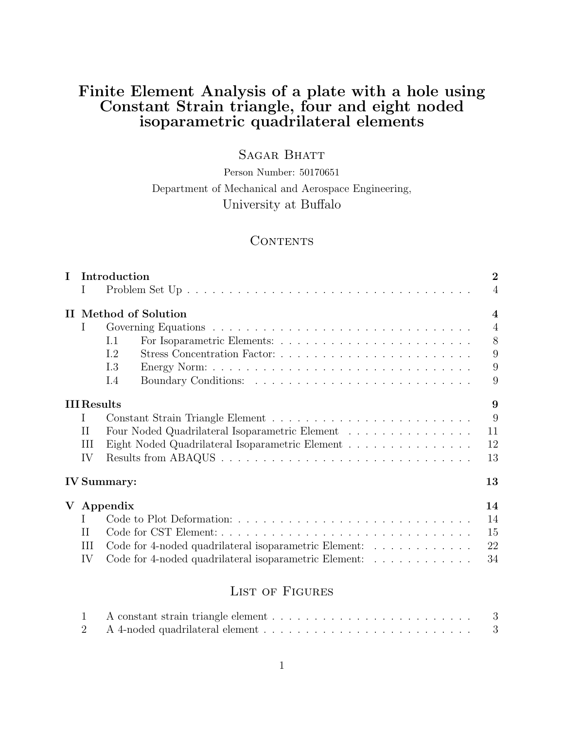# Finite Element Analysis of a plate with a hole using Constant Strain triangle, four and eight noded isoparametric quadrilateral elements

# SAGAR BHATT

Person Number: 50170651 Department of Mechanical and Aerospace Engineering, University at Buffalo

# **CONTENTS**

| $\mathbf I$ | Introduction       |                                                                                                             |                         |  |
|-------------|--------------------|-------------------------------------------------------------------------------------------------------------|-------------------------|--|
|             | T                  | Problem Set Up $\ldots \ldots \ldots \ldots \ldots \ldots \ldots \ldots \ldots \ldots \ldots \ldots \ldots$ | $\overline{4}$          |  |
|             |                    | II Method of Solution                                                                                       | $\overline{\mathbf{4}}$ |  |
|             | L                  |                                                                                                             | $\overline{4}$          |  |
|             |                    | I.1                                                                                                         | 8                       |  |
|             |                    | I.2                                                                                                         | 9                       |  |
|             |                    | I.3                                                                                                         | 9                       |  |
|             |                    | I.4                                                                                                         | 9                       |  |
|             | <b>III</b> Results |                                                                                                             | 9                       |  |
|             | I                  |                                                                                                             | 9                       |  |
|             | H                  | Four Noded Quadrilateral Isoparametric Element $\ldots \ldots \ldots \ldots \ldots$                         | 11                      |  |
|             | Ш                  | Eight Noded Quadrilateral Isoparametric Element                                                             | 12                      |  |
|             | IV                 |                                                                                                             | 13                      |  |
|             |                    | <b>IV</b> Summary:                                                                                          | 13                      |  |
| $\mathbf V$ |                    | Appendix                                                                                                    | 14                      |  |
|             | Τ                  |                                                                                                             | 14                      |  |
|             | H                  |                                                                                                             | 15                      |  |
|             | Ш                  | Code for 4-noded quadrilateral isoparametric Element:                                                       | 22                      |  |
|             | IV                 | Code for 4-noded quadrilateral isoparametric Element:                                                       | 34                      |  |
|             |                    | $\mathbf{r}$ and $\mathbf{r}$ and $\mathbf{r}$                                                              |                         |  |

# List of Figures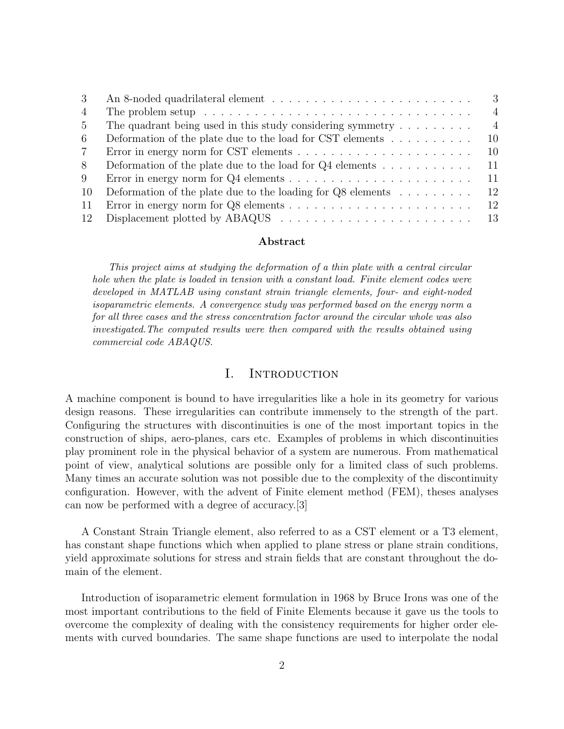| 3           | - 3                                                                                                                |
|-------------|--------------------------------------------------------------------------------------------------------------------|
| 4           | $\overline{4}$<br>The problem setup $\ldots \ldots \ldots \ldots \ldots \ldots \ldots \ldots \ldots \ldots \ldots$ |
| $5^{\circ}$ | $\overline{4}$<br>The quadrant being used in this study considering symmetry $\dots \dots \dots$                   |
| 6           | Deformation of the plate due to the load for CST elements $\dots \dots \dots$<br>10                                |
| 7           | Error in energy norm for CST elements $\ldots \ldots \ldots \ldots \ldots \ldots \ldots$<br>10                     |
| 8           | Deformation of the plate due to the load for $Q4$ elements<br>11                                                   |
| 9           | 11                                                                                                                 |
| -10         | Deformation of the plate due to the loading for $Q8$ elements<br>12                                                |
| -11         | -12                                                                                                                |
| 12          |                                                                                                                    |

#### Abstract

This project aims at studying the deformation of a thin plate with a central circular hole when the plate is loaded in tension with a constant load. Finite element codes were developed in MATLAB using constant strain triangle elements, four- and eight-noded isoparametric elements. A convergence study was performed based on the energy norm a for all three cases and the stress concentration factor around the circular whole was also investigated.The computed results were then compared with the results obtained using commercial code ABAQUS.

#### I. INTRODUCTION

A machine component is bound to have irregularities like a hole in its geometry for various design reasons. These irregularities can contribute immensely to the strength of the part. Configuring the structures with discontinuities is one of the most important topics in the construction of ships, aero-planes, cars etc. Examples of problems in which discontinuities play prominent role in the physical behavior of a system are numerous. From mathematical point of view, analytical solutions are possible only for a limited class of such problems. Many times an accurate solution was not possible due to the complexity of the discontinuity configuration. However, with the advent of Finite element method (FEM), theses analyses can now be performed with a degree of accuracy.[3]

A Constant Strain Triangle element, also referred to as a CST element or a T3 element, has constant shape functions which when applied to plane stress or plane strain conditions, yield approximate solutions for stress and strain fields that are constant throughout the domain of the element.

Introduction of isoparametric element formulation in 1968 by Bruce Irons was one of the most important contributions to the field of Finite Elements because it gave us the tools to overcome the complexity of dealing with the consistency requirements for higher order elements with curved boundaries. The same shape functions are used to interpolate the nodal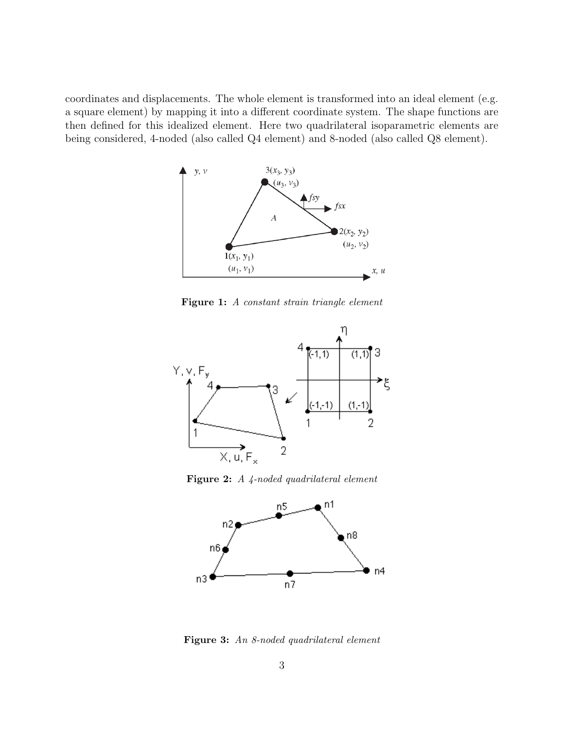coordinates and displacements. The whole element is transformed into an ideal element (e.g. a square element) by mapping it into a different coordinate system. The shape functions are then defined for this idealized element. Here two quadrilateral isoparametric elements are being considered, 4-noded (also called Q4 element) and 8-noded (also called Q8 element).



Figure 1: A constant strain triangle element



Figure 2: A 4-noded quadrilateral element



Figure 3: An 8-noded quadrilateral element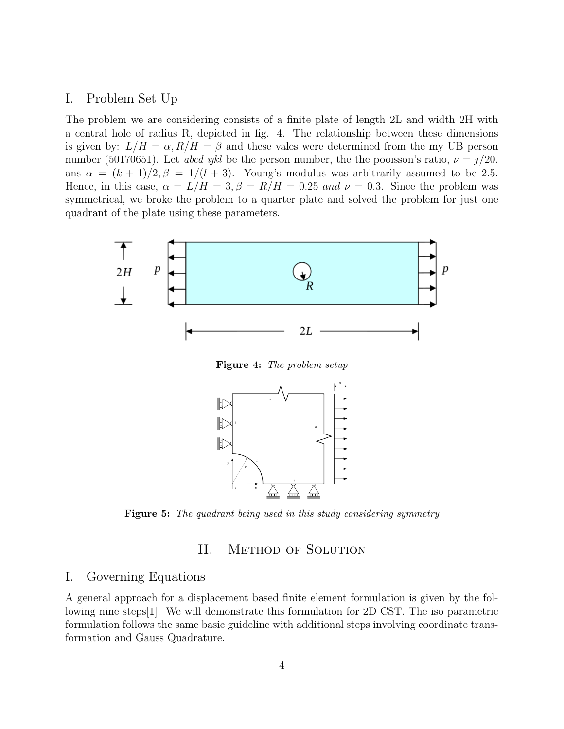### I. Problem Set Up

The problem we are considering consists of a finite plate of length 2L and width 2H with a central hole of radius R, depicted in fig. 4. The relationship between these dimensions is given by:  $L/H = \alpha$ ,  $R/H = \beta$  and these vales were determined from the my UB person number (50170651). Let abcd ijkl be the person number, the the pooisson's ratio,  $\nu = j/20$ . ans  $\alpha = (k+1)/2$ ,  $\beta = 1/(l+3)$ . Young's modulus was arbitrarily assumed to be 2.5. Hence, in this case,  $\alpha = L/H = 3, \beta = R/H = 0.25$  and  $\nu = 0.3$ . Since the problem was symmetrical, we broke the problem to a quarter plate and solved the problem for just one quadrant of the plate using these parameters.



**Figure 5:** The quadrant being used in this study considering symmetry

# II. Method of Solution

#### I. Governing Equations

A general approach for a displacement based finite element formulation is given by the following nine steps[1]. We will demonstrate this formulation for 2D CST. The iso parametric formulation follows the same basic guideline with additional steps involving coordinate transformation and Gauss Quadrature.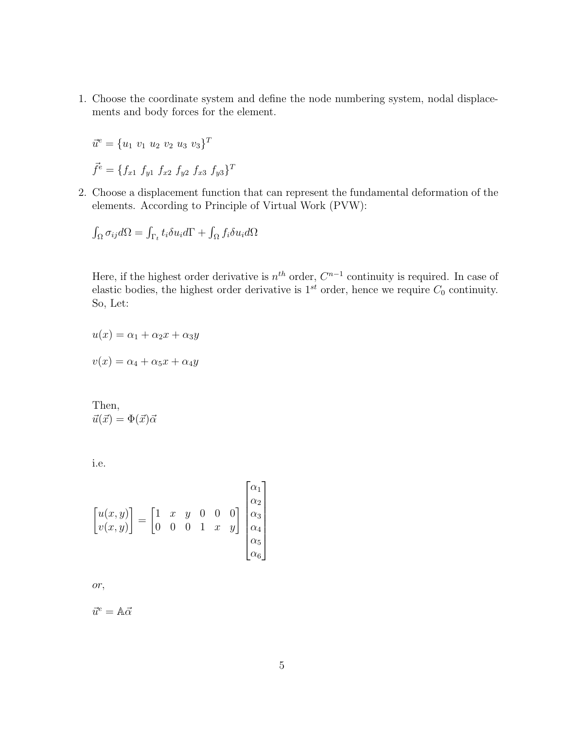1. Choose the coordinate system and define the node numbering system, nodal displacements and body forces for the element.

$$
\vec{u}^e = \{u_1 \ v_1 \ u_2 \ v_2 \ u_3 \ v_3\}^T
$$

$$
\vec{f}^e = \{f_{x1} \ f_{y1} \ f_{x2} \ f_{y2} \ f_{x3} \ f_{y3}\}^T
$$

2. Choose a displacement function that can represent the fundamental deformation of the elements. According to Principle of Virtual Work (PVW):

$$
\int_{\Omega} \sigma_{ij} d\Omega = \int_{\Gamma_t} t_i \delta u_i d\Gamma + \int_{\Omega} f_i \delta u_i d\Omega
$$

Here, if the highest order derivative is  $n^{th}$  order,  $C^{n-1}$  continuity is required. In case of elastic bodies, the highest order derivative is  $1^{st}$  order, hence we require  $C_0$  continuity. So, Let:

 $u(x) = \alpha_1 + \alpha_2 x + \alpha_3 y$  $v(x) = \alpha_4 + \alpha_5 x + \alpha_4 y$ 

Then,  $\vec{u}(\vec{x}) = \Phi(\vec{x})\vec{\alpha}$ 

i.e.

$$
\begin{bmatrix} u(x,y) \\ v(x,y) \end{bmatrix} = \begin{bmatrix} 1 & x & y & 0 & 0 & 0 \\ 0 & 0 & 0 & 1 & x & y \end{bmatrix} \begin{bmatrix} \alpha_1 \\ \alpha_2 \\ \alpha_3 \\ \alpha_4 \\ \alpha_5 \\ \alpha_6 \end{bmatrix}
$$

or,

$$
\vec{u}^e = \mathbb{A}\vec{\alpha}
$$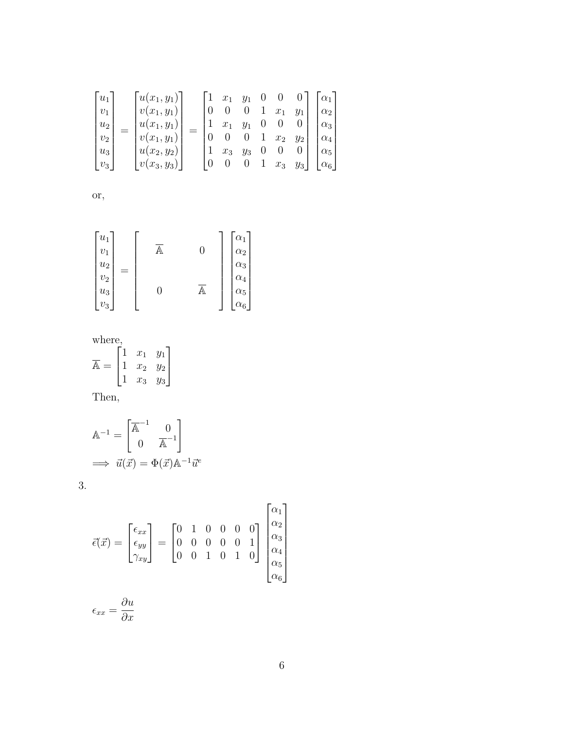$$
\begin{bmatrix} u_1 \\ v_1 \\ u_2 \\ v_2 \\ u_3 \\ v_3 \end{bmatrix} = \begin{bmatrix} u(x_1, y_1) \\ v(x_1, y_1) \\ u(x_1, y_1) \\ v(x_1, y_1) \\ u(x_2, y_2) \\ v(x_3, y_3) \end{bmatrix} = \begin{bmatrix} 1 & x_1 & y_1 & 0 & 0 & 0 \\ 0 & 0 & 0 & 1 & x_1 & y_1 \\ 1 & x_1 & y_1 & 0 & 0 & 0 \\ 1 & x_1 & y_1 & 0 & 0 & 0 \\ 0 & 0 & 0 & 1 & x_2 & y_2 \\ 1 & x_3 & y_3 & 0 & 0 & 0 \\ 0 & 0 & 0 & 1 & x_3 & y_3 \end{bmatrix} \begin{bmatrix} \alpha_1 \\ \alpha_2 \\ \alpha_3 \\ \alpha_4 \\ \alpha_5 \\ \alpha_6 \end{bmatrix}
$$

or,

| $u_1$<br>$v_1$<br>$\boldsymbol{u}_2$ |     |   | $\mathcal{C}_{\alpha_1}$<br>$\alpha_2$<br>$\alpha_3$ |
|--------------------------------------|-----|---|------------------------------------------------------|
| $v_2$<br>$u_3$                       | $=$ | Ψ | $\alpha_4$<br>$\alpha_5$                             |
| $v_3$                                |     |   | $\alpha_{6}$                                         |

where,

where,  

$$
\overline{\mathbb{A}} = \begin{bmatrix} 1 & x_1 & y_1 \\ 1 & x_2 & y_2 \\ 1 & x_3 & y_3 \end{bmatrix}
$$

Then,

$$
\mathbb{A}^{-1} = \begin{bmatrix} \overline{\mathbb{A}}^{-1} & 0\\ 0 & \overline{\mathbb{A}}^{-1} \end{bmatrix}
$$
  

$$
\implies \vec{u}(\vec{x}) = \Phi(\vec{x}) \mathbb{A}^{-1} \vec{u}^e
$$

**3.** 

$$
\vec{\epsilon}(\vec{x}) = \begin{bmatrix} \epsilon_{xx} \\ \epsilon_{yy} \\ \gamma_{xy} \end{bmatrix} = \begin{bmatrix} 0 & 1 & 0 & 0 & 0 & 0 \\ 0 & 0 & 0 & 0 & 0 & 1 \\ 0 & 0 & 1 & 0 & 1 & 0 \end{bmatrix} \begin{bmatrix} \alpha_1 \\ \alpha_2 \\ \alpha_3 \\ \alpha_4 \\ \alpha_5 \\ \alpha_6 \end{bmatrix}
$$

$$
\epsilon_{xx} = \frac{\partial u}{\partial x}
$$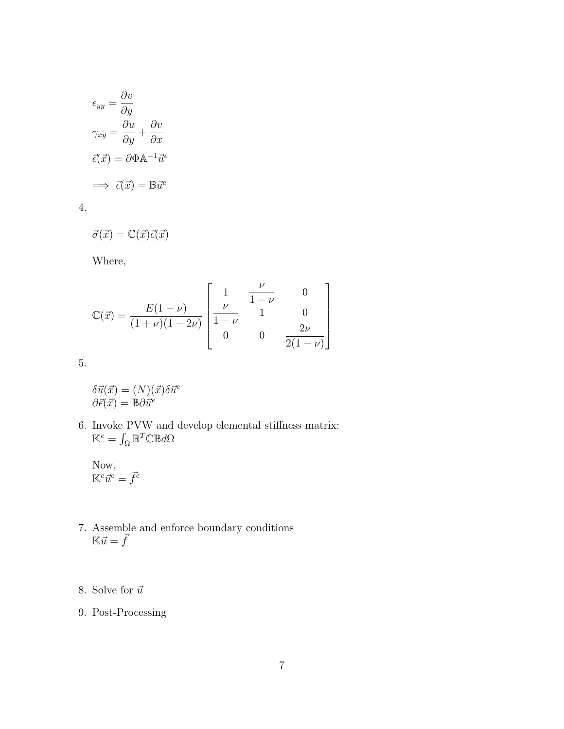$$
\epsilon_{yy} = \frac{\partial v}{\partial y}
$$

$$
\gamma_{xy} = \frac{\partial u}{\partial y} + \frac{\partial v}{\partial x}
$$

$$
\vec{\epsilon}(\vec{x}) = \partial \Phi \mathbb{A}^{-1} \vec{u}^e
$$

$$
\implies \vec{\epsilon}(\vec{x}) = \mathbb{B} \vec{u}^e
$$

4.

$$
\vec{\sigma}(\vec{x}) = \mathbb{C}(\vec{x})\vec{\epsilon}(\vec{x})
$$

Where,

$$
\mathbb{C}(\vec{x}) = \frac{E(1-\nu)}{(1+\nu)(1-2\nu)} \begin{bmatrix} 1 & \frac{\nu}{1-\nu} & 0 \\ \frac{\nu}{1-\nu} & 1 & 0 \\ 0 & 0 & \frac{2\nu}{2(1-\nu)} \end{bmatrix}
$$

5.

 $\delta\vec{u}(\vec{x}) = (N)(\vec{x})\delta\vec{u}^e$  $\partial\vec{\epsilon}(\vec{x})=\mathbb{B}\partial\vec{u}^e$ 

6. Invoke PVW and develop elemental stiffness matrix:  $\mathbb{K}^e = \int_{\Omega} \mathbb{B}^T \mathbb{C} \mathbb{B} d\Omega$ 

Now,  $\mathbb{K}^e\vec{u}^e=\vec{f}^e$ 

- 7. Assemble and enforce boundary conditions  $\mathbb{K}\vec{u} = \vec{f}$
- 8. Solve for  $\vec{u}$
- 9. Post-Processing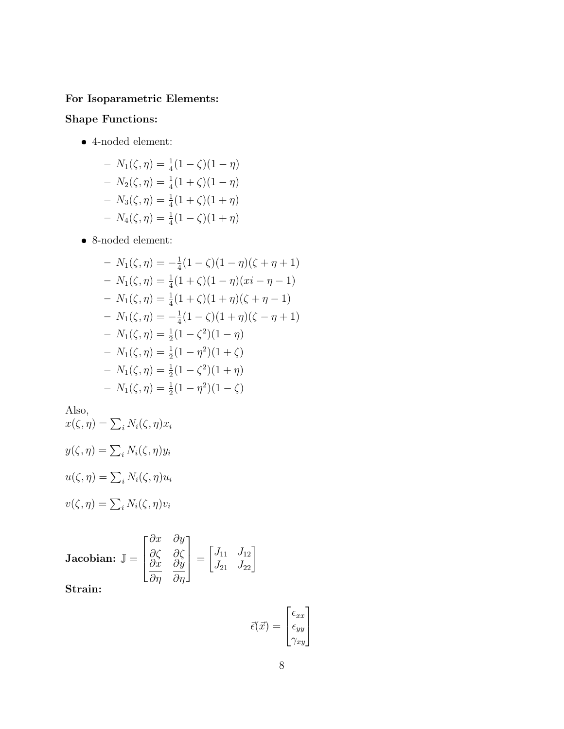# For Isoparametric Elements:

# Shape Functions:

4-noded element:

$$
- N_1(\zeta, \eta) = \frac{1}{4}(1 - \zeta)(1 - \eta)
$$
  
\n
$$
- N_2(\zeta, \eta) = \frac{1}{4}(1 + \zeta)(1 - \eta)
$$
  
\n
$$
- N_3(\zeta, \eta) = \frac{1}{4}(1 + \zeta)(1 + \eta)
$$
  
\n
$$
- N_4(\zeta, \eta) = \frac{1}{4}(1 - \zeta)(1 + \eta)
$$

8-noded element:

$$
- N_1(\zeta, \eta) = -\frac{1}{4}(1 - \zeta)(1 - \eta)(\zeta + \eta + 1)
$$
  
\n
$$
- N_1(\zeta, \eta) = \frac{1}{4}(1 + \zeta)(1 - \eta)(xi - \eta - 1)
$$
  
\n
$$
- N_1(\zeta, \eta) = \frac{1}{4}(1 + \zeta)(1 + \eta)(\zeta + \eta - 1)
$$
  
\n
$$
- N_1(\zeta, \eta) = -\frac{1}{4}(1 - \zeta)(1 + \eta)(\zeta - \eta + 1)
$$
  
\n
$$
- N_1(\zeta, \eta) = \frac{1}{2}(1 - \zeta^2)(1 - \eta)
$$
  
\n
$$
- N_1(\zeta, \eta) = \frac{1}{2}(1 - \eta^2)(1 + \zeta)
$$
  
\n
$$
- N_1(\zeta, \eta) = \frac{1}{2}(1 - \zeta^2)(1 + \eta)
$$
  
\n
$$
- N_1(\zeta, \eta) = \frac{1}{2}(1 - \eta^2)(1 - \zeta)
$$

Also,

$$
x(\zeta, \eta) = \sum_{i} N_i(\zeta, \eta) x_i
$$

$$
y(\zeta, \eta) = \sum_{i} N_i(\zeta, \eta) y_i
$$

$$
u(\zeta, \eta) = \sum_{i} N_i(\zeta, \eta) u_i
$$

$$
v(\zeta, \eta) = \sum_{i} N_i(\zeta, \eta) v_i
$$

**Jacobian:** 
$$
\mathbb{J} = \begin{bmatrix} \frac{\partial x}{\partial \zeta} & \frac{\partial y}{\partial \zeta} \\ \frac{\partial x}{\partial \eta} & \frac{\partial y}{\partial \eta} \end{bmatrix} = \begin{bmatrix} J_{11} & J_{12} \\ J_{21} & J_{22} \end{bmatrix}
$$
**Strain:**

$$
\vec{\epsilon}(\vec{x}) = \begin{bmatrix} \epsilon_{xx} \\ \epsilon_{yy} \\ \gamma_{xy} \end{bmatrix}
$$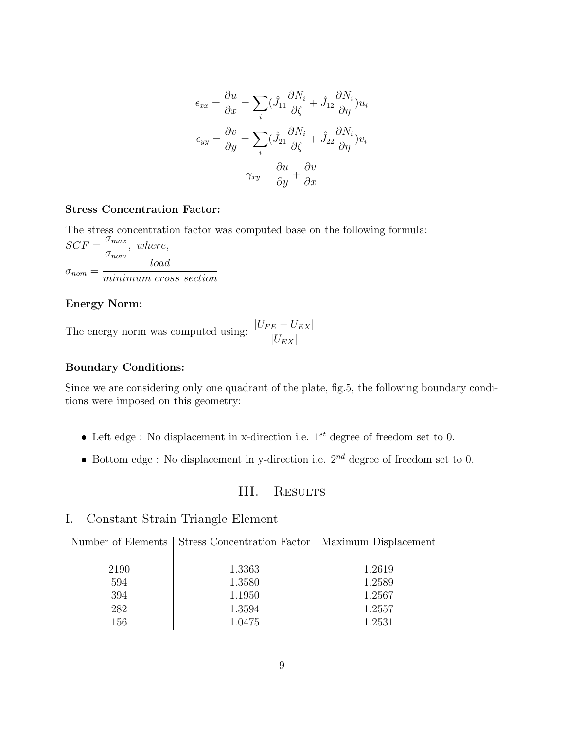$$
\epsilon_{xx} = \frac{\partial u}{\partial x} = \sum_{i} (\hat{J}_{11} \frac{\partial N_i}{\partial \zeta} + \hat{J}_{12} \frac{\partial N_i}{\partial \eta}) u_i
$$

$$
\epsilon_{yy} = \frac{\partial v}{\partial y} = \sum_{i} (\hat{J}_{21} \frac{\partial N_i}{\partial \zeta} + \hat{J}_{22} \frac{\partial N_i}{\partial \eta}) v_i
$$

$$
\gamma_{xy} = \frac{\partial u}{\partial y} + \frac{\partial v}{\partial x}
$$

#### Stress Concentration Factor:

The stress concentration factor was computed base on the following formula:  $SCF = \frac{\sigma_{max}}{2}$  $\sigma_{nom}$ , where,  $\sigma_{nom} =$ load minimum cross section

#### Energy Norm:

The energy norm was computed using:  $\frac{|U_{FE} - U_{EX}|}{|U_{EE} - U_{EX}|}$  $|U_{EX}|$ 

#### Boundary Conditions:

Since we are considering only one quadrant of the plate, fig.5, the following boundary conditions were imposed on this geometry:

- Left edge : No displacement in x-direction i.e.  $1^{st}$  degree of freedom set to 0.
- Bottom edge : No displacement in y-direction i.e.  $2^{nd}$  degree of freedom set to 0.

### III. RESULTS

# I. Constant Strain Triangle Element

|      | Number of Elements   Stress Concentration Factor   Maximum Displacement |        |
|------|-------------------------------------------------------------------------|--------|
|      |                                                                         |        |
| 2190 | 1.3363                                                                  | 1.2619 |
| 594  | 1.3580                                                                  | 1.2589 |
| 394  | 1.1950                                                                  | 1.2567 |
| 282  | 1.3594                                                                  | 1.2557 |
| 156  | 1.0475                                                                  | 1.2531 |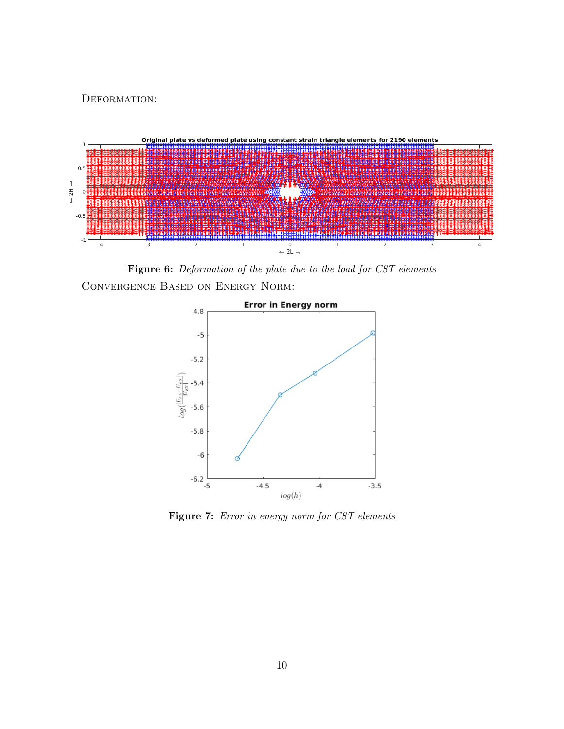DEFORMATION:



Figure 6: Deformation of the plate due to the load for CST elements Convergence Based on Energy Norm:



Figure 7: Error in energy norm for CST elements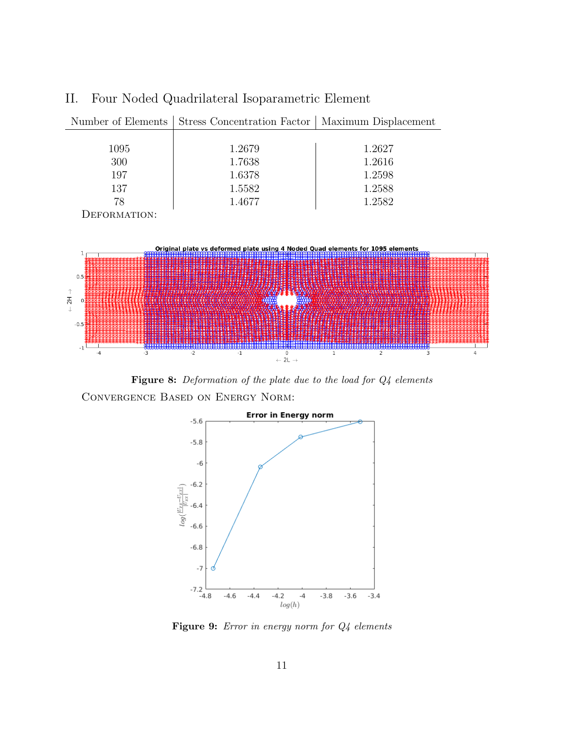

II. Four Noded Quadrilateral Isoparametric Element

Figure 8: Deformation of the plate due to the load for  $Q_4$  elements Convergence Based on Energy Norm:



Figure 9: Error in energy norm for  $Q4$  elements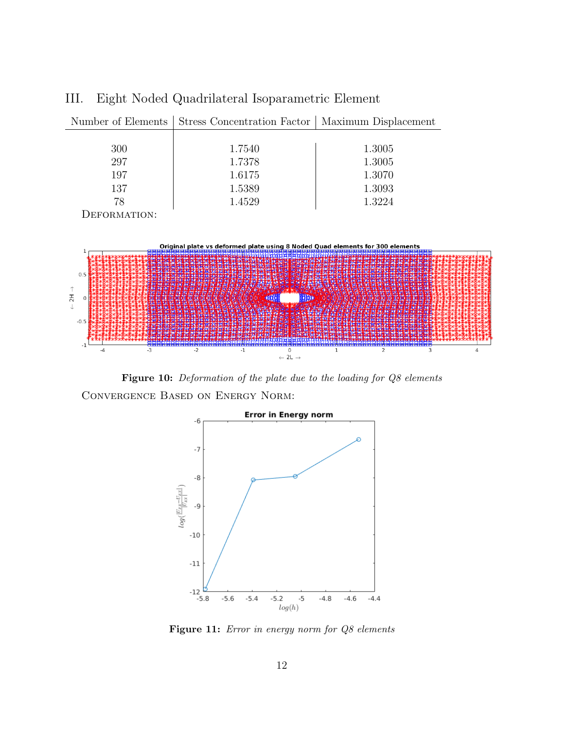

III. Eight Noded Quadrilateral Isoparametric Element

Figure 10: Deformation of the plate due to the loading for Q8 elements Convergence Based on Energy Norm:



Figure 11: Error in energy norm for Q8 elements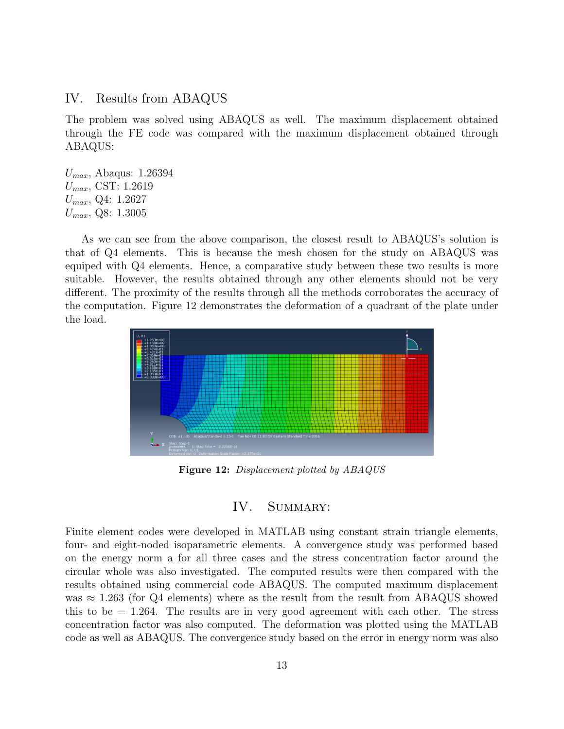#### IV. Results from ABAQUS

The problem was solved using ABAQUS as well. The maximum displacement obtained through the FE code was compared with the maximum displacement obtained through ABAQUS:

 $U_{max}$ , Abaqus: 1.26394  $U_{max}$ , CST: 1.2619  $U_{max}$ , Q4: 1.2627  $U_{max}$ , Q8: 1.3005

As we can see from the above comparison, the closest result to ABAQUS's solution is that of Q4 elements. This is because the mesh chosen for the study on ABAQUS was equiped with Q4 elements. Hence, a comparative study between these two results is more suitable. However, the results obtained through any other elements should not be very different. The proximity of the results through all the methods corroborates the accuracy of the computation. Figure 12 demonstrates the deformation of a quadrant of the plate under the load.



Figure 12: Displacement plotted by ABAQUS

### IV. SUMMARY:

Finite element codes were developed in MATLAB using constant strain triangle elements, four- and eight-noded isoparametric elements. A convergence study was performed based on the energy norm a for all three cases and the stress concentration factor around the circular whole was also investigated. The computed results were then compared with the results obtained using commercial code ABAQUS. The computed maximum displacement was  $\approx$  1.263 (for Q4 elements) where as the result from the result from ABAQUS showed this to be  $= 1.264$ . The results are in very good agreement with each other. The stress concentration factor was also computed. The deformation was plotted using the MATLAB code as well as ABAQUS. The convergence study based on the error in energy norm was also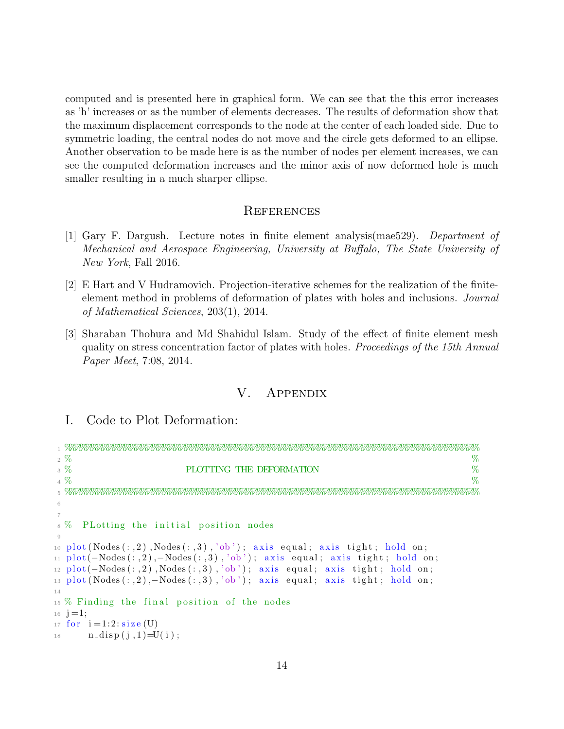computed and is presented here in graphical form. We can see that the this error increases as 'h' increases or as the number of elements decreases. The results of deformation show that the maximum displacement corresponds to the node at the center of each loaded side. Due to symmetric loading, the central nodes do not move and the circle gets deformed to an ellipse. Another observation to be made here is as the number of nodes per element increases, we can see the computed deformation increases and the minor axis of now deformed hole is much smaller resulting in a much sharper ellipse.

#### **REFERENCES**

- [1] Gary F. Dargush. Lecture notes in finite element analysis(mae529). Department of Mechanical and Aerospace Engineering, University at Buffalo, The State University of New York, Fall 2016.
- [2] E Hart and V Hudramovich. Projection-iterative schemes for the realization of the finiteelement method in problems of deformation of plates with holes and inclusions. Journal of Mathematical Sciences, 203(1), 2014.
- [3] Sharaban Thohura and Md Shahidul Islam. Study of the effect of finite element mesh quality on stress concentration factor of plates with holes. Proceedings of the 15th Annual Paper Meet, 7:08, 2014.

# V. Appendix

# I. Code to Plot Deformation:

|                | %<br>$2\%$                                                                               |
|----------------|------------------------------------------------------------------------------------------|
|                | $\%$<br>$3\%$<br>PLOTTING THE DEFORMATION                                                |
|                | $4\%$<br>$\%$                                                                            |
|                |                                                                                          |
| 6              |                                                                                          |
| $\overline{7}$ |                                                                                          |
|                | 8% PLotting the initial position nodes                                                   |
|                |                                                                                          |
|                | 10 $plot(Nodes(:, 2), Nodes(:, 3), 'ob'); axis equal; axis tight; hold on;$              |
|                | 11 $plot(-Nodes(:, 2), -Nodes(:, 3), 'ob'); axis equal; axis tight; hold on;$            |
|                | $_{12}$ plot(-Nodes(:,2), Nodes(:,3), 'ob'); axis equal; axis tight; hold on;            |
|                | $_{13}$ plot (Nodes $(:, 2), -$ Nodes $(:, 3), 'ob')$ ; axis equal; axis tight; hold on; |
| 14             |                                                                                          |
|                | 15 % Finding the final position of the nodes                                             |
|                | $_{16}$ j = 1;                                                                           |
|                | 17 for $i = 1:2$ : $size(U)$                                                             |
|                | 18 $n\_disp(j, 1) = U(i);$                                                               |
|                |                                                                                          |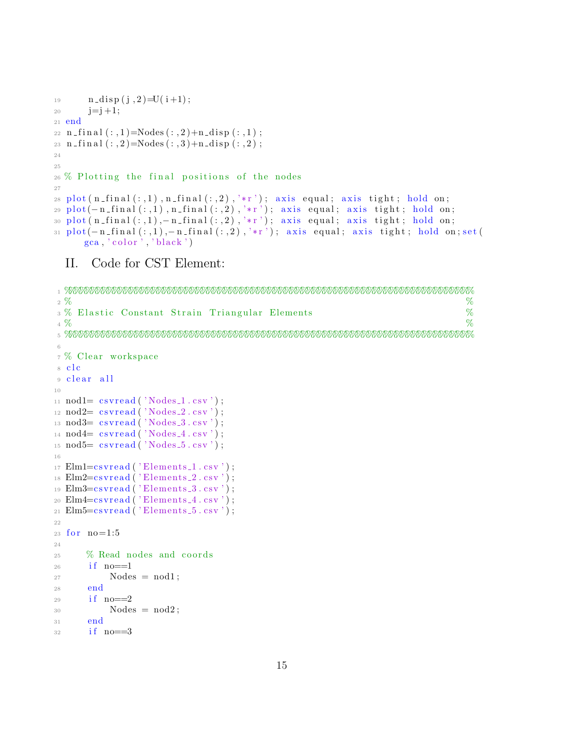```
19 n\_disp(j, 2) = U(i+1);20 j=j+1;21 end
_{22} n final (:,1)=Nodes (:,2)+n disp (:,1);
23 n final (:, 2)=Nodes (:, 3)+n disp(:, 2);
24
25
26\% Plotting the final positions of the nodes
27
28 plot (n_{\text{-}}final(:,1), n_{\text{-}}final(:,2), '*r'); axis equal; axis tight; hold on;29 plot(-n_final(:,1),n_final(:,2),'*r'); axis equal; axis tight; hold on;
30 plot (n\_final(:, 1), -n\_final(:, 2), ' *r'); axis equal; axis tight; hold on;
31 plot(-n_final(:,1),-n_final(:,2),'*r'); axis equal; axis tight; hold on; set (
      \text{gca}, '\text{color}'', '\text{black}'')
```
### II. Code for CST Element:

```
1 %%%%%%%%%%%%%%%%%%%%%%%%%%%%%%%%%%%%%%%%%%%%%%%%%%%%%%%%%%%%%%%%%%%%%%%%%%
 2\%3 % Elastic Constant Strain Triangular Elements %
 4\, % \, % \, % \, % \, % \, % \, % \, % \, % \, % \, % \, % \, % \, % \, % \, % \, % \, % \, % \, % \, % \, % \, % \, % \, % \, % \, % \, % \, % \, % \, % \,5 %%%%%%%%%%%%%%%%%%%%%%%%%%%%%%%%%%%%%%%%%%%%%%%%%%%%%%%%%%%%%%%%%%%%%%%%%%
6
7 % Clear workspace
8 clc
9 clear all
10
11 \text{nod1} = \text{csvread}(' \text{Nodes}_1 \cdot \text{csv}');12 \text{nod2} = \text{csvread}(' \text{Nodes}_2 \cdot \text{csv}');_{13} nod 3= c s v real ( ' Nodes _3 . c s v ') ;
14 \text{nod4} = \text{csvread}(' \text{Nodes}_4.\text{csv}');15 \text{nod5} = \text{csvread}(' \text{Nodes}_5 \cdot \text{csv}');16
_{17} Elm1=csvread ('Elements<sub>-1</sub>.csv');
18 Elm2=csvread ('Elements<sub>-2</sub>.csv');
19 Elm3 = cs v r e a d ( 'Elements -3 . c s v ');
20 Elm4 = \text{csvread} ('Elements 4 \cdot \text{csv}');
_{21} Elm5=csvread ('Elements<sub>-5</sub>.csv');
22
23 for no=1:524
25 % Read nodes and coords
26 if no==127 \qquad \qquad \text{Nodes} = \text{nod1};28 end
29 if no == 230 Nodes = nod2;
31 end
32 if no==3
```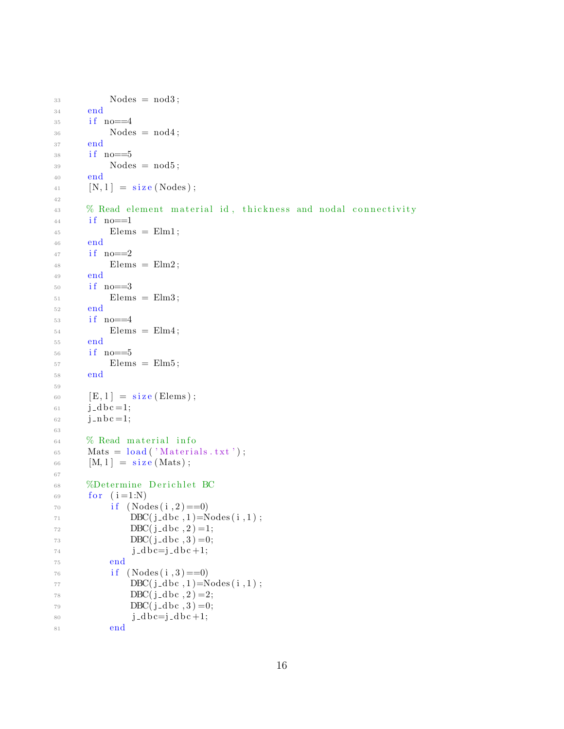```
33 Nodes = nod3;
34 end
35 if no==4
36 Nodes = nod4;
37 end
38 if no==5
39 Nodes = nod5;
40 end
41 [N, 1] = size (Nodes);42
43 % Read element material id, thickness and nodal connectivity
44 if no == 145 Elems = Elm1;
46 end
47 if no==2
48 Elems = Elm2;
49 end
50 if no==3
51 Elems = Elm3;
52 end
53 if no==4
54 Elems = Elm4;
55 end
56 if no==5
57 Elems = Elm5;
58 end
59
60 [E, 1] = size (Elements);61 j _d b c = 1;
62 j_n b c = 1;
63
64 % Read material info
65 Mats = load('Materials.txt');66 [M, 1] = size(Mats);
67
68 %Determine Derichlet BC
69 for (i=1:N)70 if (Nodes(i, 2) == 0)DBC(j_dbc, 1) = Nodes(i, 1);\text{DBC}(\text{j}_-\text{dbc}, 2) = 1;73 DBC(j-dbc,3) =0;
j - d b c = j - d b c + 1;75 end
76 if (Nodes(i, 3) == 0)DBC(j_dbc, 1) = Nodes(i, 1);78 DBC(j-dbc,2) = 2;
79 DBC(j_d bc, 3) =0;
80 j_d b c=j_d b c +1;
81 end
```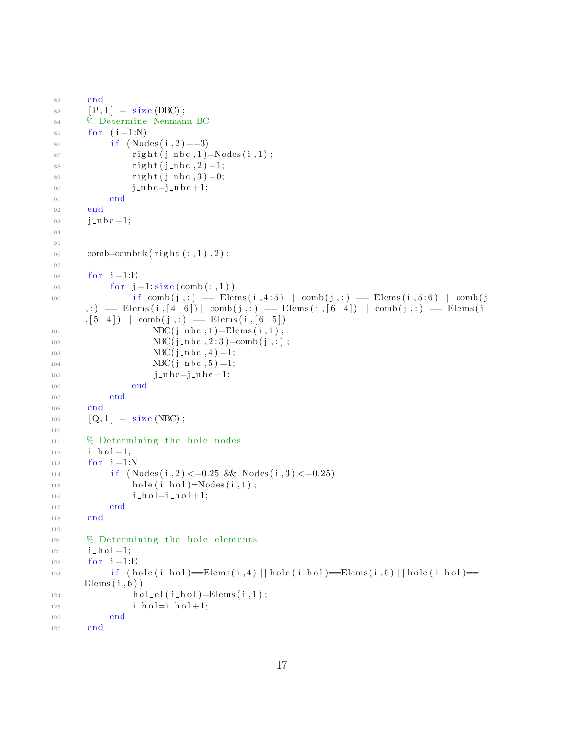```
82 end
83 [P, 1] = \text{size}(\text{DBC});
84 % Determine Neumann BC
85 for (i = 1:N)86 if (Nodes(i, 2) == 3)s_7 right (j_nbc, 1)=Nodes (i, 1);
88 right (j_{-}nbc, 2) = 1;89 right (j_{\text{m}}b_{\text{c}}, 3) = 0;90 j = nb c = j = nb c + 1;91 end
92 end
93 j -\mathbf{j} \cdot \mathbf{n}bc = 1;
94
95
96 comb=combnk (\text{ right}(:,1), 2);97
98 for i=1:E99 for j=1: size (comb(:,1))\text{if } \text{comb}(j,:) \implies \text{Elements}(i,4:5) \mid \text{comb}(j,:) \implies \text{Elements}(i,5:6) \mid \text{comb}(j,:) \implies \text{Elements}(i,5:6) \mid \text{comb}(j,:) \implies \text{Elements}(i,5:6) \mid \text{comb}(j,:) \implies \text{Elements}(i,5:6) \mid \text{comb}(j,:) \implies \text{Elements}(i,5:6) \mid \text{comb}(j,:) \implies \text{Elements}(i,5:6) \mid \text{comb}(j,:) \implies \text{Elements}(i,5:6) \mid \text{comb}(j,:) \implies \text{Elements}(i,5:6) \, : ) = Elems (i, [4 \ 6]) | comb(j, :) = Elems (i, [6 \ 4]) | comb(j, :) = Elems (i
        ,[5 4] | comb(j,:) = Elems(i,[6 5])NBC(j_nbc, 1) = Elems(i, 1);NBC(j_nbc, 2:3) = comb(j,:);103 NBC(j-nbc, 4) = 1;104 NBC(j-nbc, 5) = 1;105 j_n bc = j_n bc + 1;106 end
107 end
108 end
109 [Q, 1] = \text{size}(\text{NBC});
110
111 % Determining the hole nodes
112 i_hol=1;
113 for i=1:N114 if (Nodes(i, 2) \leq 0.25 \& k s Nodes (i, 3) \leq 0.25115 hole ( i_hol )=Nodes ( i , 1 ) ;
i\_h o l = i\_h o l +1;117 end
118 end
119
120 % Determining the hole elements
i = h o l = 1;_{122} for i=1:E\text{if } (\text{hole}(i\_hol) \implies \text{Elements}(i, 4) \mid \text{hole}(i\_hol) \implies \text{Elements}(i, 5) \mid \text{hole}(i\_hol) \impliesElems(i, 6))
_{124} hol _{\text{el}} (i _{\text{hol}})=Elems(i,1);
125 i\_h o l = i\_h o l + 1;126 end
127 end
```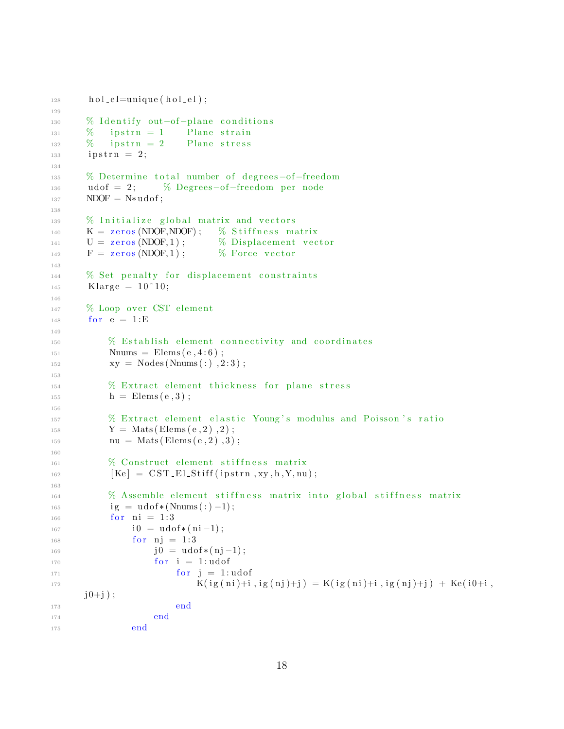```
_{128} hol_el=unique (hol_el);
129
130 % Identify out-of-plane conditions
\frac{131}{211} % ipstrn = 1 Plane strain
\frac{132}{132} % ipstrn = 2 Plane stress
133 ipstrn = 2;
134
135 % Determine total number of degrees-of-freedom
136 udof = 2; % Degrees-of-freedom per node
137 NDOF = N* udof;
138
139 % Initialize global matrix and vectors
_{140} K = zeros (NDOF, NDOF); % Stiffness matrix
U = \text{zeros}(NDOF, 1); % Displacement vector
F = \text{zeros}(\text{NDOF}, 1); % Force vector
143
144 % Set penalty for displacement constraints
_{145} Klarge = 10 ^{\circ}10;
146
147 % Loop over CST element
148 for e = 1:E149
<sup>150</sup> We Establish element connectivity and coordinates
N_{\text{nums}} = \text{Elements} (e, 4:6);xyz \quad xy = \text{Nodes}(\text{Nnums}(:), 2:3);153
154 		 % Extract element thickness for plane stress
h = \text{Elems}(e, 3) ;156
157 % Extract element elastic Young's modulus and Poisson's ratio
158 Y = \text{Mats}(\text{Elements}(e, 2), 2);_{159} nu = Mats (Elems (e, 2), 3);
160
161 % Construct element stiffness matrix
[Ke] = \text{CST\_El\_Stiff}(ipstrn, xy, h, Y, nu);
163
164 % Assemble element stiffness matrix into global stiffness matrix
165 ig = udof *(Nnums (: ) -1);
166 for ni = 1:3167 \t i0 = u\text{dof}*(ni-1);168 for nj = 1:3169 \t j0 = u\text{dof}*(nj-1);170 for i = 1: u \cdot \text{dof}171 for j = 1: udofK( \text{ig ( ni}) + \text{i} , \text{ig ( n j) + j } ) = K( \text{ig ( ni}) + \text{i} , \text{ig ( n j) + j } ) + K\text{e ( i0 + i ,}j0+j );
173 end
174 end
175 end
```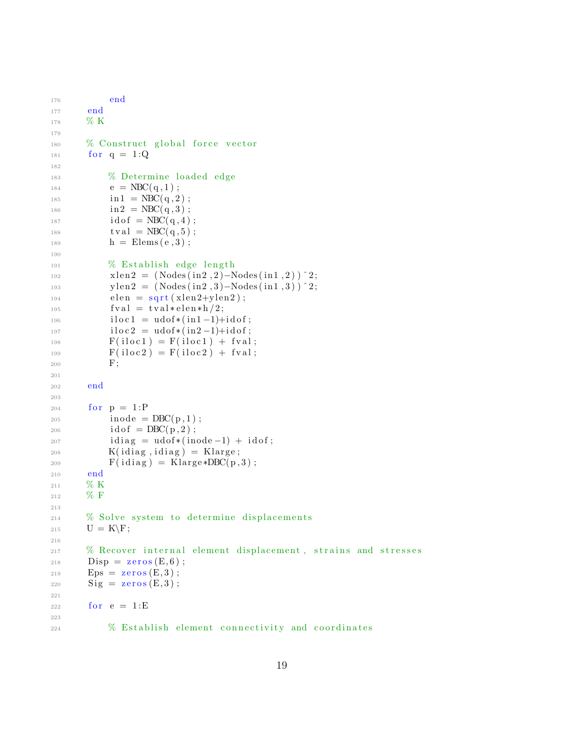```
176 end
177 end
178 % K
179
180 % Construct global force vector
181 for q = 1:Q182
183 % Determine loaded edge
e = \text{NBC}(q, 1);
185 \text{in } 1 = \text{NBC}(\text{q}, 2);
186 in 2 = NBC(q,3);
187 i \, \text{d} \, \text{of} = \text{NBC}(\,q\,,4\,);
188 t val = NBC(q, 5) ;h = \text{Elems}(e, 3);
190
\frac{191}{2} % Establish edge length
xlen2 = (Nodes(in2, 2) - Nodes(in1, 2) )<sup>2</sup>;
193 ylen2 = (Nodes (in2, 3) -Nodes (in1, 3) ) ^2;
_{194} elen = sqrt(xlen2+ylen2);195 f val = t val * elem * h / 2;196 i\ln 0 = \text{udof} * (\text{in1} - 1) + \text{idof};
197 \mathrm{iloc2} = \mathrm{udof} * (\mathrm{in2} - 1) + \mathrm{idof};
F(iloc1) = F(iloc1) + fval;F(iloc2) = F(iloc2) + fval;200 F;
201
202 end
203
204 for p = 1:P205 i \mod e = \text{DBC}(p,1);
206 i \, \text{d} \, \text{of} = \text{DBC}(p, 2);
207 idiag = udof *(inode -1) + idof;
_{208} K(idiag, idiag) = Klarge;
209 F(idiag) = Klarge * DBC(p,3);210 end
211 % K
212 % F
213
214 % Solve system to determine displacements
215 U = K \ F;216
217 % Recover internal element displacement, strains and stresses
218 Disp = \text{zeros}(E, 6);
219 Eps = \text{zeros}(E, 3);
220 \text{Sig} = \text{zeros}(E, 3);
221
222 for e = 1: E223
224 % Establish element connectivity and coordinates
```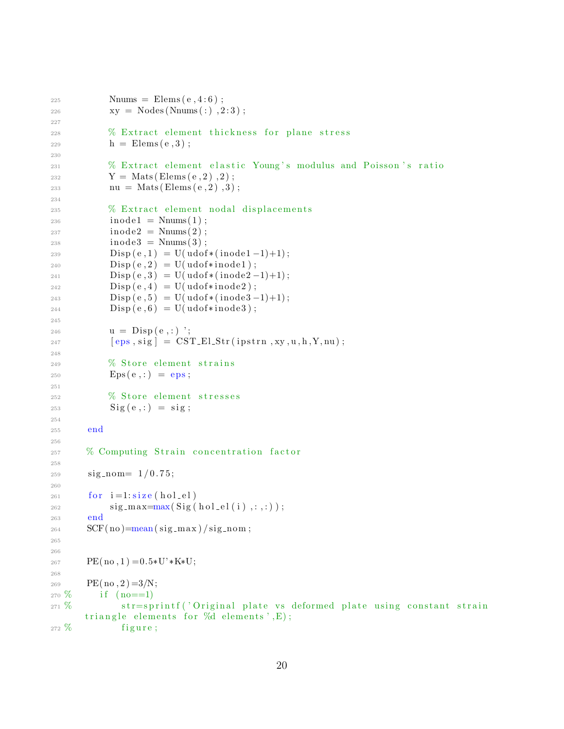```
225
              \text{Nnums} = \text{Elements}(\text{e}, 4:6);xy = Nodes(Nnums(:), 2:3);226
227
              % Extract element thickness for plane stress
228
              h =Elems(e, 3);
229
230
              % Extract element elastic Young's modulus and Poisson's ratio
231
              Y = \text{Mats}(\text{Elements}(e, 2), 2);232
              nu = Mats(Elements(e, 2), 3);233
234
              % Extract element nodal displacements
235
              inode1 = \text{Nnums}(1);236
              inode2 = \text{Nnums}(2);237
              inode3 = \text{Nnums}(3);238
              Disp(e, 1) = U(udof*(inode1-1)+1);230
240
              \text{Disp}(e,2) = \text{U}(udof*inode1);\rho(\mathrm{e},3) = \mathrm{U}(\mathrm{udof}*(\mathrm{inode}2-1)+1);241\text{Disp}(e, 4) = \text{U}(udof*inode2);242
              \rho(\mathrm{e}, 5) = U(\mathrm{udof}*(\mathrm{inode}3-1)+1);243
              \rho(\mathbf{e}, 6) = \mathbf{U}(\mathbf{udof} \ast \mathbf{inode} 3);244
245
              u = Disp(e, :)';
246
              [eps, sig] = \text{CST-ELStr}(ipstr, xy, u, h, Y, nu);247
248
              % Store element strains
249
              Eps(e, :) = eps;250251
              % Store element stresses
252
              \text{Sig}(e,:) = \text{sig};253
254end
255
256
        % Computing Strain concentration factor
257
258
         sign\_nom = 1/0.75;259
260
         for i=1: size(hol-el)261
              sig_max = max(Sig(hol-el(i), :, :));
262
         end
263
         SCF(no) = mean(sig_max) / sig-nom;264
265
266
         PE(no, 1) = 0.5*U'*K*U;267
268
        PE(m, 2) = 3/N;269
270\, %
            if (no==1)str=sprintf ('Original plate vs deformed plate using constant strain
271\, %
        triangle elements for %d elements', E);
272\frac{9}{6}figure;
```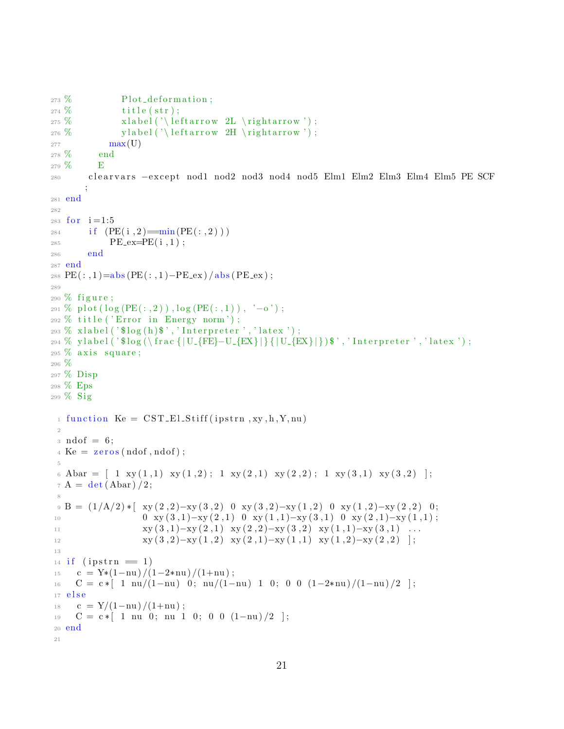```
_{273} % Plot_deformation;
274\% title (str);275 % x label ('\leftarrow 2L \rightarrow');
276 % y label ('\leftarrow 2H \rightarrow');
277 max(U)278 % end
279 % E
280 clearvars −except nod1 nod2 nod3 nod4 nod5 Elm1 Elm2 Elm3 Elm4 Elm5 PE SCF
       ;
281 end
282
283 for i = 1:5284 if (PE(i, 2) = min(PE(:, 2)))285 PE_ex=PE(i,1);
286 end
287 end
288 PE(:, 1) = abs(PE(:, 1) - PE\_ex)/abs(PE\_ex);
289
290\% figure;
291 % plot (\log (PE(:, 2)), \log (PE(:, 1)), '-o');
_{292} % title ('Error in Energy norm');
_{293} % x label ('\log(h)','Interpreter','latex');
294 % y label ('$log (\ frac { | U_{FE}-U_{EX} | } { | U_{EX} | } ) $', ' Interpreter', ' latex ') ;
295\% axis square;
296 %
297 % Disp
298 % Eps
299 % Sig
 _1 function Ke = CST El Stiff (ipstrn, xy, h, Y, nu)
 2
 \alpha ndof = 6;
 4 \text{ Ke} = \text{zeros} (\text{ndof}, \text{ndof});
 5
 6 Abar = \begin{bmatrix} 1 & xy(1,1) & xy(1,2) \\ 1 & 1 & xy(2,1) & xy(2,2) \\ 1 & 1 & xy(3,1) & xy(3,2) \end{bmatrix};
 7 A = det (Abar) / 2;8
 \beta B = (1/A/2) * [ xy(2,2)-xy(3,2) 0 xy(3,2)-xy(1,2) 0 xy(1,2)-xy(2,2) 0;
10 0 xy (3,1) -xy (2,1) 0 xy (1,1) -xy (3,1) 0 xy (2,1) -xy (1,1);
\text{xy (3,1)–xy (2,1)} \quad \text{xy (2,2)–xy (3,2)} \quad \text{xy (1,1)–xy (3,1)} \quad \ldots12 xy(3,2)-xy(1,2) xy(2,1)-xy(1,1) xy(1,2)-xy(2,2) ;
13
_{14} if (ipstrn = 1)
15 c = Y*(1-nu) /(1-2*nu) /(1+nu);
16 C = c * [ 1 nu/(1-nu) 0; nu/(1-nu) 1 0; 0 0 (1-2*nu)/(1-nu)/2 ];
17 e l s e
18 c = Y/(1-nu)/(1+nu);
19 \quad C = c * [ 1 \text{ nu } 0; \text{ nu } 1 \quad 0; \quad 0 \quad 0 \quad (1-\text{nu})/2 ];
20 end
21
```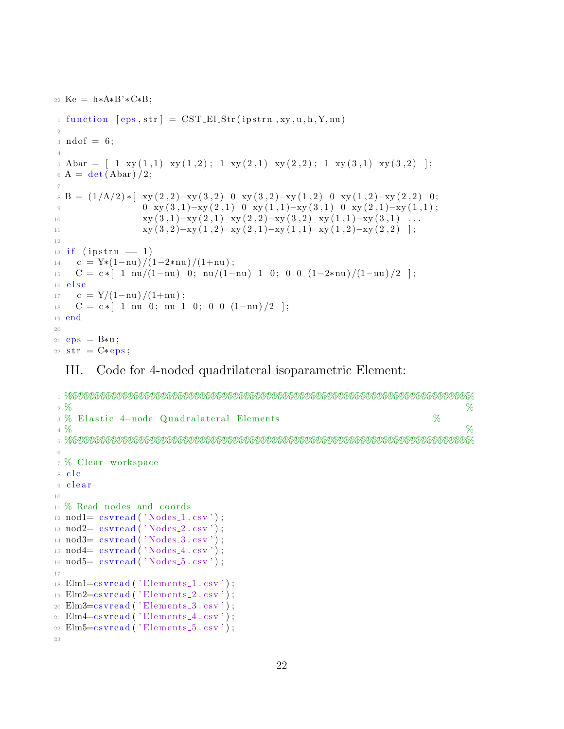22 Ke =  $h*A*B'*C*B$ ;

```
1 function [eps, str] = CST_El_Str(ipstrn, xy, u, h, Y, nu)
\overline{2}: \text{ndof} = 6;\overline{4}5 \text{ Abar} = \begin{bmatrix} 1 & xy(1,1) & xy(1,2) \\ 1 & 0 & 1 \end{bmatrix}; 1 \text{ xy}(2,1) \text{ xy}(2,2); 1 \text{ xy}(3,1) \text{ xy}(3,2)];
6 A = \det(Abar)/2;\overline{7}B = (1/A/2) * [xy(2,2)-xy(3,2) 0 xy(3,2)-xy(1,2) 0 xy(1,2)-xy(2,2) 0;0 \ xy(3,1)-xy(2,1) \ 0 \ xy(1,1)-xy(3,1) \ 0 \ xy(2,1)-xy(1,1);\overline{9}xy(3,1)-xy(2,1) xy(2,2)-xy(3,2) xy(1,1)-xy(3,1) ...
10
                       xy(3,2)-xy(1,2) xy(2,1)-xy(1,1) xy(1,2)-xy(2,2) ;
1112if (ipstrn = 1)
13\,c = Y*(1-nu)/(1-2*nu)/(1+nu);
\frac{1}{4}C = c * [ 1 \text{nu}/(1-\text{nu}) \ 0; \text{nu}/(1-\text{nu}) \ 1 \ 0; \ 0 \ 0 \ (1-2*\text{nu})/(1-\text{nu})/2 ]15
   else
16
      c = Y/(1-nu)/(1+nu);
17
     C = c * [ 1 \text{ nu } 0; \text{ nu } 1 \text{ 0}; 0 \text{ 0} (1-\text{nu})/2 ];
18
19 end
2021 eps = B*u;22 str = C*eps;
```
Code for 4-noded quadrilateral isoparametric Element: III.

```
%2\%3 % Elastic 4-node Quadralateral Elements
                                                                      \%%4\%6\overline{6}7 % Clear workspace
8 clc
9 clear
1011 % Read nodes and coords
12 \text{nod1} = \text{csvread}('Nodes_1 \text{csv}');13 \text{nod2} = \text{csvread}('Nodes_2 \text{.} \text{csv}');14 \text{nod3} = \text{csvread}('Nodes.3.csv');15 \text{nod4} = \text{csvread}('Nodes_4.\text{csv}');nod5= csvread('Nodes_5.csv');
16
17
18 Elm1 = csvread ('Elements<sub>-1</sub>.csv');
19 Elm2=csvread ('Elements<sub>-2</sub>.csv');
20 Elm3=csvread ('Elements_3.csv');
21 Elm4=csvread ('Elements<sub>-4</sub>.csv');
22 Elm5=csvread ('Elements_5.csv');
23
```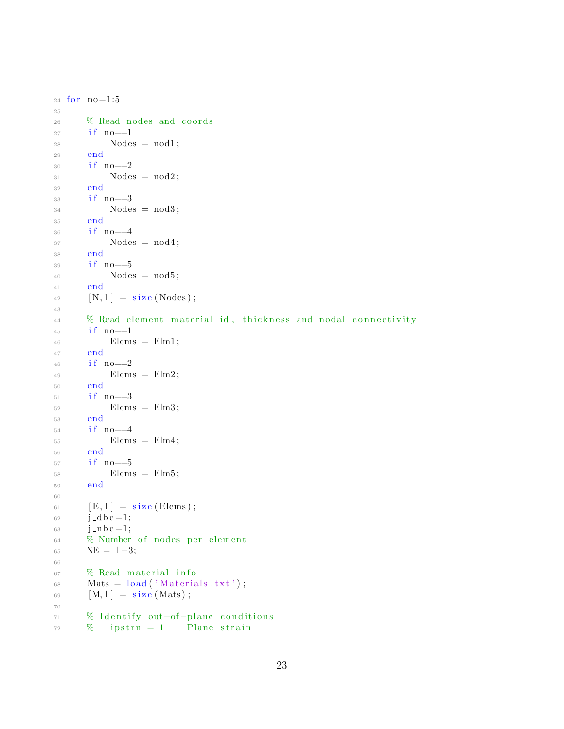```
24 for no=1:525
26 % Read nodes and coords
27 if no==1
28 Nodes = nod1;
29 end
30 if no == 231 Nodes = nod2;
32 end
33 if no==3
34 Nodes = nod3;
35 end
36 if no==4
37 Nodes = nod4;
38 end
39 if no==540 Nodes = nod5;
41 end
^{42} [N, 1] = size (Nodes);
43
44 % Read element material id, thickness and nodal connectivity
45 if no == 1^{46} Elems = Elm1;
47 end
48 if no==2
^{49} Elems = Elm2;
50 end
51 if no==3
52 Elems = Elm3;
53 end
54 if no==4
55 Elems = Elm4;
56 end
57 if no == 558 Elems = Elm5;
59 end
60
\begin{array}{ll} 61 & \text{[E,1]} = \text{size} \text{ (Elements)} \end{array}62 j_d b c = 1;
63 j_n b c = 1;
64 % Number of nodes per element
65 NE = 1-3;
66
67 % Read material info
68 Mats = load('Materials.txt');69 [M, l] = size(Mats);70
71 % Identify out-of-plane conditions
\frac{72}{2} % ipstrn = 1 Plane strain
```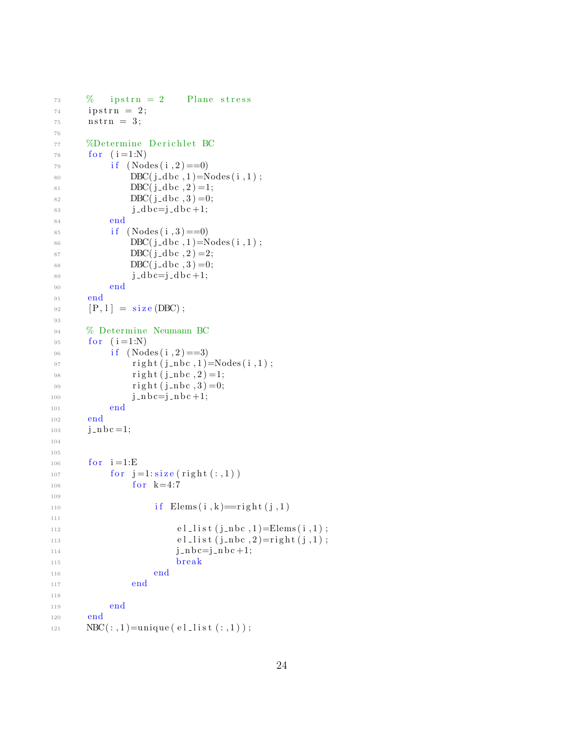```
\% ipstrn = 2 Plane stress
74 i p s t r n = 2;
75 nstrn = 3;
76
77 %Determine Derichlet BC
78 for (i=1:N)i \in (Nodes(i, 2) == 0)80 DBC(j_d bc, 1) = \text{Nodes}(i, 1);81 DBC(j_dbc, 2)=1;
82 DBC(j_dbc, 3)=0;
83 j d b c=j d b c +1;
84 end
85 if (Nodes(i, 3) == 0)86 DBC(j_d bc, 1)=Nodes(i, 1);
87 DBC(j_d bc, 2) = 2;
88 DBC(j_dbc, 3)=0;
89 j_d b c = j_d b c + 1;90 end
91 end
92 [P, 1] = \text{size}(\text{DBC});
93
94 % Determine Neumann BC
95 for (i = 1:N)96 if (Nodes(i, 2) == 3)97 right (j_{-}nbc, 1) = Nodes(i, 1);98 \text{right} (j_{\text{m}}bc, 2) = 1;99 \text{right} (j_{\text{in}}bc, 3) = 0;100 j_{-}n b c = j_{-}n b c + 1;101 end
102 end
103 j = nb c = 1;104
105
_{106} for i=1:E_{107} for j=1:size(right(:,1))108 for k=4:7109
\text{if } \text{Elements}(i, k) = \text{right}(j, 1)111
112 e l \text{l} is t (j_nbc, 1)=Elems(i, 1);
113 e l \text{l}ist (j \text{ } n \text{ } b \text{ } c \text{ } , 2) = \text{right}(j,1);114 j = n b c = j - n b c + 1;115 break
116 end
117 end
118
119 end
120 end
121 NBC(:, 1) =unique (e l \_l i s t (:, 1) );
```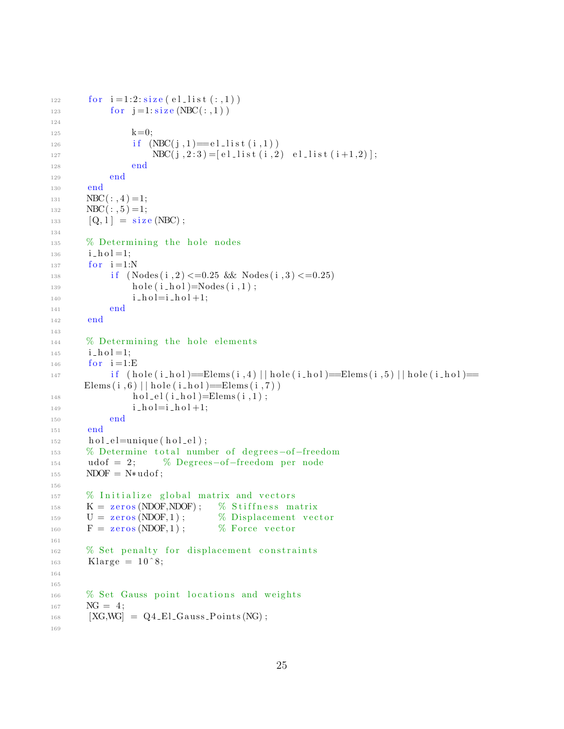```
122
        for i=1:2:size(e1_list(:,1))for j=1: size(NBC(:,1))123
124
                  k=0;125
                  if (NEC(j, 1) = e1 list (i, 1))
126
                      NBC(j, 2:3) = [el\_list(i, 2) \text{ el\_list}(i+1,2)];127
                  end
128
             end
129
        end
130
       NBC (: , 4) = 1;
131
       NBC (: , 5) = 1;
132
        [Q, 1] = size(NBC);133
134
       % Determining the hole nodes
135
        i<sub>h</sub>ol=1;
136
        for i=1:N137
             if (Nodes(i, 2) \le 0.25 & Nodes (i, 3) \le 0.25138
                  hole(i\_hol)=Nodes(i,1);139
                  i\_hol=i\_hol+1;140
             end
141
        end
142
143
       % Determining the hole elements
144
        i<sub>-</sub>hol=1;
145
        for i=1:E146
             if (hole(i_hol)=Elems(i,4)||hole(i_hol)=Elems(i,5)||hole(i_hol)=
147
       Elems(i, 6) || hole (i_hol) = Elems(i, 7) )
                  hol\_el(i\_hol)=Elements(i,1);148
                  i<sub>h</sub>ol=i<sub>h</sub>ol+1;149
             end
150
        end
151
        hol-el=unique(hol-el);
152
        % Determine total number of degrees-of-freedom
153
        \text{udof} = 2:
                         % Degrees-of-freedom per node
154
       NDOF = N*udof;155
156
       % Initialize global matrix and vectors
157
       K = zeros (NDOF, NDOF);% Stiffness matrix
158
        U = \text{zeros}(NDOF, 1);% Displacement vector
159
        F = zeros (NDOF, 1);% Force vector
160
161
       % Set penalty for displacement constraints
162
        Klarge = 10^8;163
164
165
       % Set Gauss point locations and weights
166
       NG = 4:167
        [XG, WG] = Q4<sub>-El-Gauss-Points</sub>(NG);
168
169
```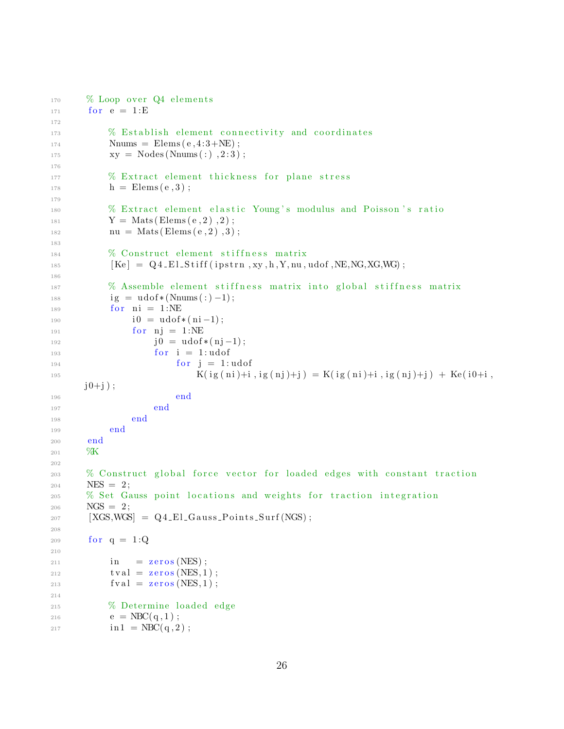```
170
       % Loop over Q4 elements
        for e = 1:E171
172
            % Establish element connectivity and coordinates
173
            Nnums = \text{Elements}(\text{e}, 4:3 + \text{NE});
174
             xy = Nodes(Nnums(:), 2:3);175
176
            % Extract element thickness for plane stress
177
            h =Elems(e, 3);
178
179
            % Extract element elastic Young's modulus and Poisson's ratio
180
            Y = Mats (Elems (e, 2), 2);
181
            nu = Mats(Elements(e, 2), 3);182
183
            % Construct element stiffness matrix
184
             [Ke] = Q4<sub>-El-Stiff</sub>(ipstrn, xy, h, Y, nu, udof, NE, NG, XG, WG);
185
186
            % Assemble element stiffness matrix into global stiffness matrix
187
             ig = u\text{dof}*(\text{Nnums}(:) - 1);188
             for ni = 1:NE189
                  i0 = u\text{dof}*(ni-1);190
                  for ni = 1:NE191
                       j0 = u\text{dof}*(nj-1);192
                       for i = 1: udof
193
                            for j = 1: udof
194
                                K(ig(ni)+i, ig(nj)+j) = K(ig(ni)+i, ig(nj)+j) + Ke(i0+i,195
       j0+j;
                           end
196
                       end
197
                  end
198
             end
199
        end
200%К
201
202
       % Construct global force vector for loaded edges with constant traction
203
        NES = 2;204
       % Set Gauss point locations and weights for traction integration
205
        NGS = 2;206
        [XGS, WGS] = Q4<sub>-El-Gauss-Points-Surf(NGS)</sub>;
207
208
        for q = 1:Q209210
             in
                  = zeros (NES);
211
             tval = zeros(NES, 1);212
             fval = zeros(NES, 1);213
214
            % Determine loaded edge
215e = \text{NBC}(q, 1);
216
             \text{in1} = \text{NBC}(q, 2);
217
```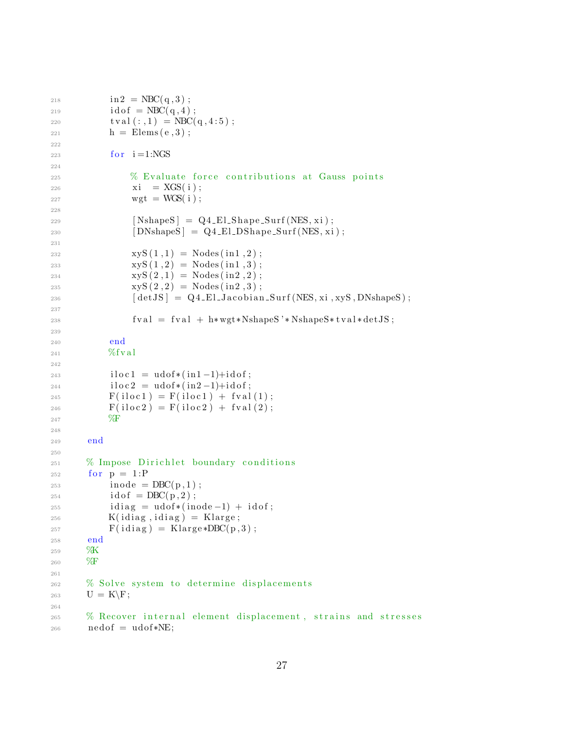```
\text{in2} = \text{NBC}(\text{q},3);218
             idof = \text{NBC}(q, 4);
219
             tval(:,1) = \text{NBC}(q, 4:5);220
             h =Elems(e, 3);
221
222
             for i=1:NGS223
224
                 % Evaluate force contributions at Gauss points
225
                  xi = XGS(i);226
                  wgt = WGS(i);227
228
                  [NshapeS] = Q4_El_Shape_Surf(NES, xi);
229
                  [DNshapeS] = Q4_E1_DShape_Surf(NES, xi);230
231
                 xyz(1,1) = Nodes(in1,2);232
233
                  xyz(1,2) = Nodes(in1,3);xyz(2,1) = Nodes(in2,2);234
                  xyz(2,2) = \text{Nodes}(in2,3);235
                  [detJS] = Q4<sub>-El-Jacobian-Surf(NES, xi, xyS</sub>, DNshapeS);
236
237
                  fval = fval + h* wgt*NshapeS' * NshapeS * tval * detJS;238
239
240
             end
            \%fval
241
242
             iloc1 = udof*(in1-1)+idof;243
             iloc2 = udof*(in2-1)+idof;244
            F(idoc1) = F(idc1) + fval(1);245
            F(idoc2) = F(idoc2) + fval(2);246
            \%F247248
        end
240250
       % Impose Dirichlet boundary conditions
251
        for p = 1:P252
             inode = DBC(p,1);253
             idof = DBC(p, 2);254
             idiag = udof*(inode-1) + idof;255
            K(idiag, idiag) = Klarge;256
            F(idiag) = Klarge * DBC(p,3);257
        end
258
       XK
259
       %F
260
261
       % Solve system to determine displacements
262
        U = K \ F;263
264
       % Recover internal element displacement, strains and stresses
265
        \text{nedof} = \text{udof}*\text{NE};266
```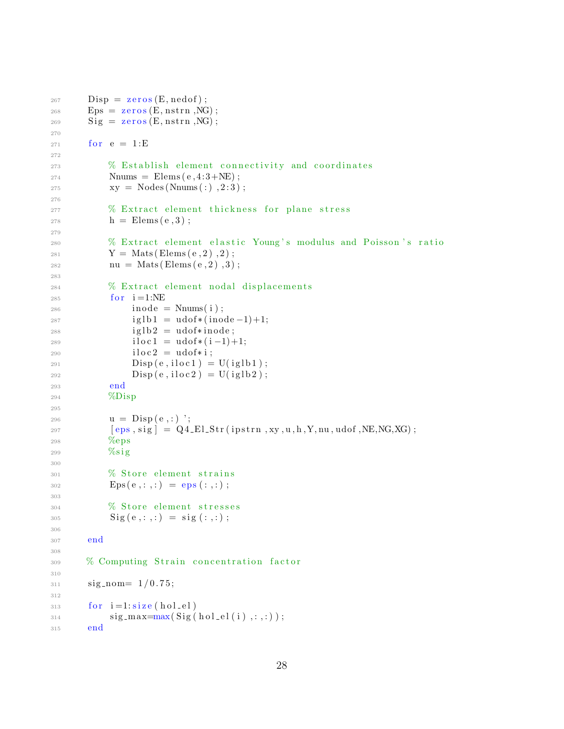```
267
        \text{Disp} = \text{zeros}(E, \text{nedof});
        Eps = zeros (E, nstrn, NG);268
        Sig = zeros(E, nstrn, NG);269
270
        for e = 1:E271
272
             % Establish element connectivity and coordinates
273
             Nnums = \text{Elements}(\text{e}, 4:3 + \text{NE});
274
             xy = Nodes(Nnums(:), 2:3);275
276
             % Extract element thickness for plane stress
277
             h =Elems(e, 3);
278
279
             % Extract element elastic Young's modulus and Poisson's ratio
280
             Y = Mats(Elements(e, 2), 2);281
             nu = Mats(Elements(e, 2), 3);282
283% Extract element nodal displacements
284
             for i=1:NE285
                  inode = \text{Nnums}(i);286
                  iglb1 = udof*(inode-1)+1;287
                  iglb2 = udof*inode;288
                  iloc1 = udof*(i-1)+1;289
                  iloc2 = udof*i;290\rho(\mathbf{e}, \mathbf{iloc1}) = \mathbf{U}(\mathbf{iglb1});291
                  \text{Disp}(e, \text{iloc2}) = \text{U}(\text{iglb2});292
             end
293
             \%Disp
294
295
             u = \text{Disp}(e,:);
296
             [eps, sig] = Q4_El_Str(ipstrn,xy,u,h,Y,nu,udof,NE,NG,XG);
297
             %eps
208
             \%sig
299
300
             % Store element strains
301
             Eps(e, : , : ) =eps(:, : )302
303
             % Store element stresses
304
             Sig(e, : , : ) = sig(:, :);305
306
        end
307
308
        % Computing Strain concentration factor
309
310
        sign-nom=1/0.75;311
312
        for i=1: size(hol-el)313sig_max = max(Sig(hol-el(i),:,:));
314
        end
315
```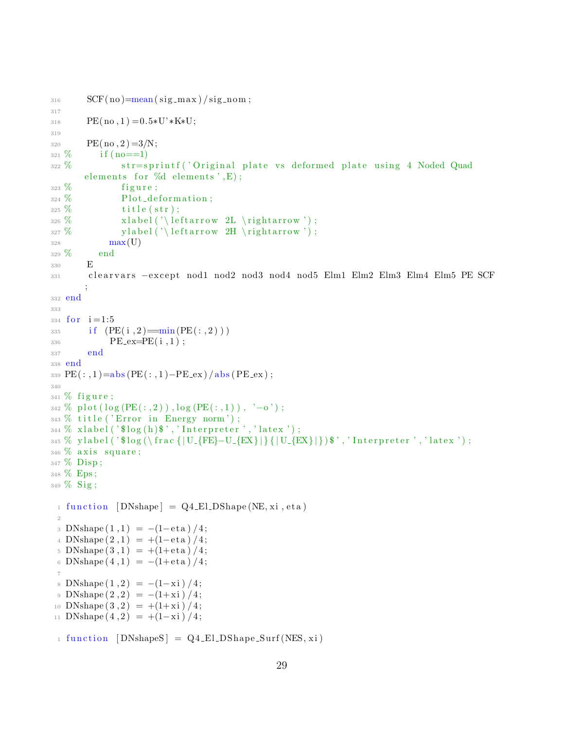```
SCF(no) = mean(sig_max) / sig-nom;317
318 PE(no, 1) = 0.5*U<sup>*</sup> *K*U;
319
B_{320} PE(no, 2) = 3/N;
321\% if (no==1)
322 % str=sprintf ('Original plate vs deformed plate using 4 Noded Quad
      elements for \%d elements', E);
323\% figure;
324\% Plot_deformation;
325\% title (str);326\% x label ('\leftarrow 2L\rightarrow');
327\% y label ('\leftarrow 2H \rightarrow');
328 max(U)329 % end
330 E
331 clearvars −except nod1 nod2 nod3 nod4 nod5 Elm1 Elm2 Elm3 Elm4 Elm5 PE SCF
       ;
332 end
333
334 for i = 1:5335 if (PE(i, 2) = min(PE(:, 2)) )BE\_ex = PE(i, 1);337 end
338 end
339 PE(:, 1)=abs(PE(:, 1)-PE\_ex)/abs(PE\_ex);
340
341\% figure;
342 % plot (\log (PE(:, 2)), \log (PE(:, 1)), '-o');
343 % title ('Error in Energy norm');
_{344} % x label ('\log(h)','Interpreter','latex');
345 % y label ('$log (\frac {|U_{FE}-U_{EX}|} {|U_{EX}|}) $', 'Interpreter', 'latex');
346\% axis square;
347 % Disp ;
348 % Eps ;
349\% Sig;
 _1 function [DNshape] = Q4_El_DShape (NE, xi, eta)
 2
 3 DNshape (1,1) = -(1-eta)/4;4 DNshape (2,1) = +(1-eta)/4;5 DNshape (3,1) = +(1+et a)/4;6 DNshape (4,1) = -(1+et a)/4;7
 8 DNshape (1,2) = -(1-\mathrm{xi})/4;9 DNshape (2, 2) = -(1+\mathrm{xi})/4;10 DNshape (3,2) = +(1+\mathrm{xi})/4;11 DNshape (4, 2) = +(1-xi)/4;_1 function [DNshapeS] = Q4_El_DShape_Surf (NES, xi)
```

```
29
```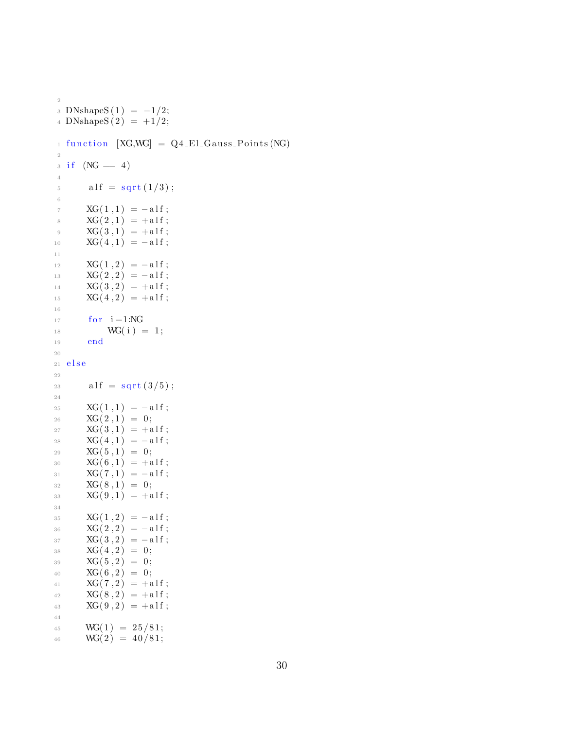```
3 DNshapeS(1) = -1/2;4 DNshapeS(2) = +1/2;_1 function [XG, WG] = Q4<sub>-El-Gauss-Points</sub> (NG)
2
3 \text{ if } (NG = 4)4
15 alf = sqrt (1/3);
6
7 XG(1,1) = -a1f;8 XG(2,1) = +a1f;9 XG(3,1) = +a1f;10 XG(4,1) = -a1f;11
XG(1,2) = -a1f;13 XG(2,2) = -a1f;XG(3,2) = +a1f;XG(4,2) = +a1f;16
17 for i = 1:NG\text{18} \text{ WG}(i) = 1;19 end
20
21 e l s e
22
23 alf = sqrt(3/5);
24
25 XG(1,1) = -a1f;XG(2,1) = 0;27 XG(3,1) = +a1f;28 XG(4,1) = -a1f;29 XG(5,1) = 0;30 XG(6,1) = +a1f;31 XG(7,1) = -a1f;\text{XG}(8,1) = 0;33 XG(9,1) = +a1f;34
35 XG(1,2) = -a1f;36 XG(2,2) = -a1f;37 \quad XG(3,2) = -a1f;\text{SG}(4,2) = 0;39 XG(5,2) = 0;40 XG(6,2) = 0;41 XG(7,2) = +a1f;\text{XG}(8,2) = +\text{alf};43 XG(9,2) = +a1f;44
45 WG(1) = 25/81;
46 WG(2) = 40/81;
```
2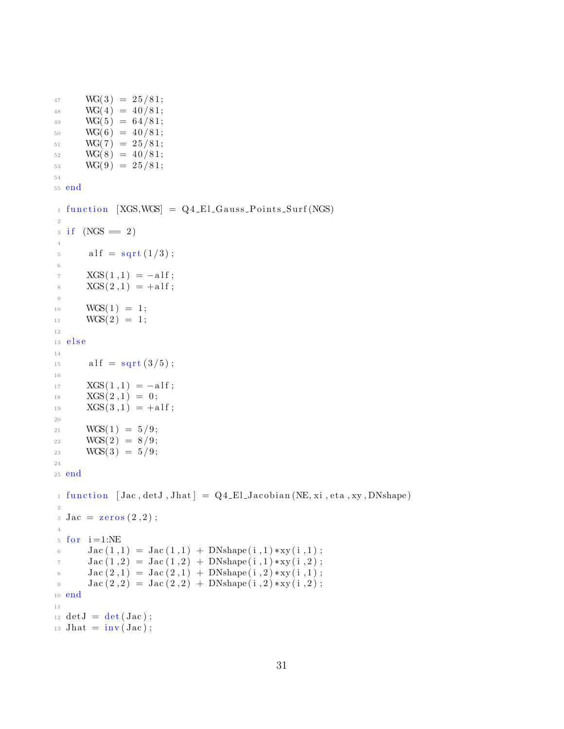```
47 \text{ WG}(3) = 25/81;48 WG(4) = 40/81;49 WG(5) = 64/81;50 WG(6) = 40/81;
51 WG(7) = 25/81;
52 \text{ WG}(8) = 40/81;53 WG(9) = 25/81;
54
55 end
_1 function [XGS, WGS] = QA_E1_Gauss_Points_Surf(NGS)2
3 \text{ if } (NGS = 2)4
5 \text{ all } f = \text{sqrt } (1/3) ;6
7 XGS(1,1) = -a1f;8 XGS(2,1) = +a1f;9
10 WGS(1) = 1;
\text{WGS}(2) = 1;12
13 e l s e
14
15 alf = sqrt(3/5);
16
\text{XGS}(1,1) = -\text{alf};\text{XGS}(2,1) = 0;19 XGS(3,1) = +a1f;2021 WGS(1) = 5/9;
22 WGS(2) = 8/9;
23 WGS(3) = 5/9;24
25 end
_1 function [\text{Jac}, \text{det}J, \text{Jhat}] = Q4 \text{ELJacobian} (NE, xi, eta, xy, DNshape)2
3 \text{ Jac} = \text{zeros}(2, 2);
4
5 for i=1:NE6 Jac (1,1) = \text{Jac}(1,1) + \text{DNshape}(i,1) * xy(i,1);Jac (1,2) = Jac(1,2) + DNshape(i,1) * xy(i,2);\lambda Jac (2,1) = \text{Jac}(2,1) + \text{DNshape}(i,2) * xy(i,1);9 Jac (2,2) = \text{Jac}(2,2) + \text{DNshape}(i,2) * xy(i,2);10 end
11
12 \text{ detJ} = \text{det}( \text{Jac}) ;_{13} Jhat = inv(Jac);
```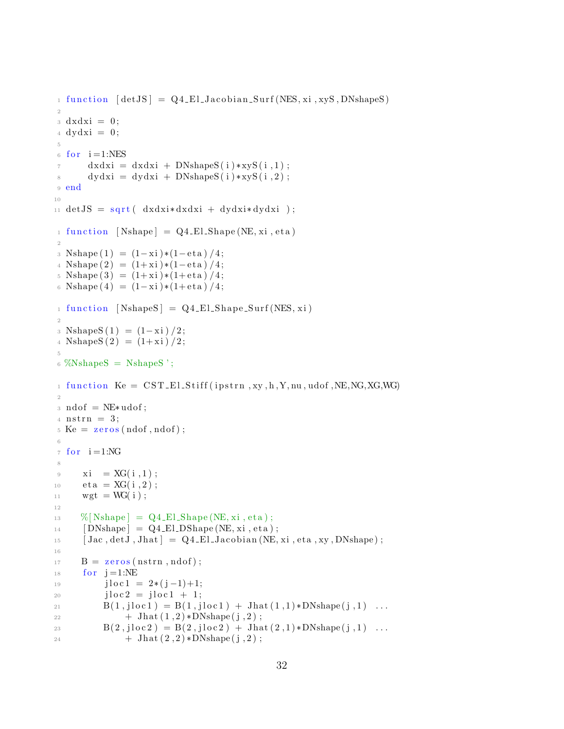```
_1 function [detJS] = Q4-El-Jacobian-Surf (NES, xi, xyS, DNshapeS)
\overline{2}3 \text{ d}x \text{d}x \text{i} = 0;4 \text{ dydx}i = 0;\overline{5}for i=1:NES\, 6 \,dxdxi = dxdxi + DNshapeS(i) * xyz(i, 1);\overline{7}dydxi = dydxi + DNshapeS(i) * xyS(i, 2);8
9 end
1011 detJS = sqrt( dxdx i * dxdxi + dydx i * dydx i);function [Nshape] = Q4-El-Shape(NE, xi, eta)
1\,\overline{2}3 Nshape (1) = (1 - xi)*(1 - eta)/(4);
4 Nshape (2) = (1+xi)*(1-\text{eta})/4;
5 Nshape (3) = (1+xi)*(1+eta)/4;6 Nshape (4) = (1 - xi)*(1 + eta)/4;_1 function [NshapeS] = Q4_El_Shape_Surf(NES, xi)
\overline{2}3 NshapeS(1) = (1 - xi)/2;4 NshapeS(2) = (1+xi)/2;\overline{5}\frac{6}{8} %NshapeS = NshapeS ';
_1 function Ke = CST_El_Stiff(ipstrn,xy,h,Y,nu,udof,NE,NG,XG,WG)
\overline{2}: \text{ndof} = \text{NE}* \text{udof};4 nstrn = 3;
5 \text{ Ke} = \text{zeros}(\text{ndof}, \text{ndof});
6
\tau for i=1:NG8
      xi = XG(i,1);\overline{9}eta = XG(i, 2);10\,wgt = WG(i);1112\%[Nshape] = Q4_El_Shape(NE, xi, eta);
13
      [DNshape] = Q4_E1_DShape(NE, xi, eta);14
      [Jac, detJ, Jhat] = Q4.E1.Jacobian (NE, xi, eta, xy, DNshape);1.5
16
      B = zeros(nstrn, ndof);17
      for j=1:NE18
           j \log 1 = 2*(j-1)+1;19
           jloc2 = jloc1 + 1;20
           B(1, jloc1) = B(1, jloc1) + Jhat(1, 1) * DNshape(j, 1) ...21+ Jhat (1,2)*DNshape(j,2);22
           B(2,jloc2) = B(2,jloc2) + Jhat(2,1) * DNshape(j,1) ...23
                + Jhat (2,2)*DNshape(j,2);24
```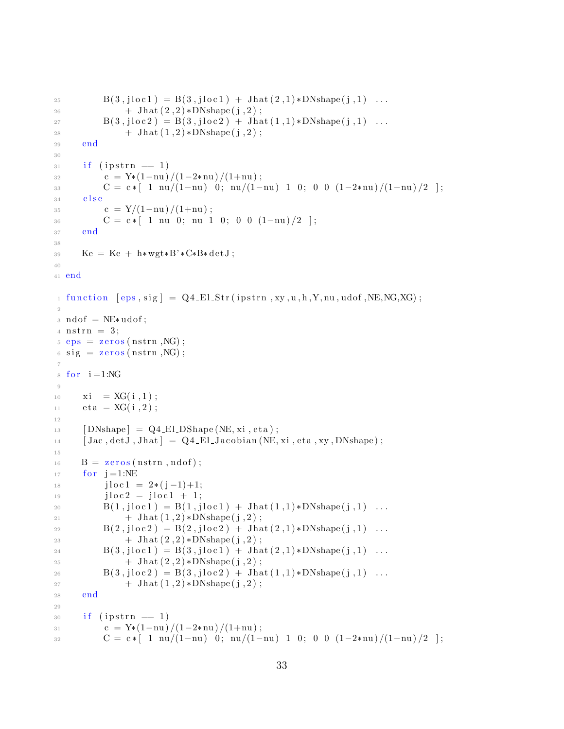```
B(3,jloc1) = B(3,jloc1) + Jhat(2,1) * DNshape(j,1) ...25
                 + Jhat (2,2)*DNshape(j,2);26
            B(3,jloc2) = B(3,jloc2) + Jhat(1,1) * DNshape(j,1) ...27
                 + Jhat (1,2) *DNshape(j,2);
28
      end
29
30
       if (ipstrn = 1)
31
            c = Y*(1-nu)/(1-2*nu)/(1+nu);
32
            C = c * [1 \text{nu}/(1-\text{nu}) \ 0; \text{nu}/(1-\text{nu}) \ 1 \ 0; \ 0 \ 0 \ (1-2*\text{nu})/(1-\text{nu})/2];33
       else
34
            c = Y/(1-nu)/(1+nu);
35
            C = c * [ 1 \text{ nu } 0; \text{ nu } 1 \text{ 0}; 0 \text{ 0} (1-\text{nu})/2 ];
36
      end
37
38
      Ke = Ke + h* wgt*B'*C*B*detJ;39
4041 end
_1 function [eps, sig] = Q4_E1_Str(ipstrn, xy, u, h, Y, nu, udof, NE, NG, XG);
\overline{2}_3 \text{ ndof} = \text{NE}* \text{udof};4 \text{ nstrn} = 3;
= eps = zeros (nstrn, NG);
s sig = zeros (nstrn, NG);
\overline{7}\delta for i=1:NG\overline{9}xi = XG(i,1);10
       eta = XG(i, 2);1112[DNshape] = Q4_E1_DShape(NE, xi, eta);13[\text{Jac}, \text{det} J, \text{Jhat}] = Q4 \text{ -ELJacobian} (NE, xi, eta, xy, DNshape);
1415
      B = zeros(nstrn, ndof);16
       for i=1:NE17
            j \log 1 = 2 * (j - 1) + 1;18
            jloc2 = jloc1 + 1;19
            B(1, jloc1) = B(1, jloc1) + Jhat(1, 1) * DNshape(j, 1) ...20+ Jhat (1,2)*DNshape(j,2);21
           B(2, jloc2) = B(2, jloc2) + Jhat(2, 1) * DNshape(j, 1) ...22
                 + Jhat (2,2)*DNshape(j,2);23B(3,jloc1) = B(3,jloc1) + Jhat(2,1) * DNshape(j,1) ...24
                 + Jhat (2,2)*DNshape(j,2);25
           B(3,jloc2) = B(3,jloc2) + Jhat(1,1) * DNshape(j,1) ...26
                 + Jhat (1,2)*DNshape(j,2);27
28
      end
2930^{\circ}if (ipstrn = 1)
            c = Y*(1-nu)/(1-2*nu)/(1+nu);
31C = c * [ 1 \text{nu}/(1-\text{nu}) \ 0; \text{nu}/(1-\text{nu}) \ 1 \ 0; \ 0 \ 0 \ (1-2*\text{nu})/(1-\text{nu})/2 ];
32
```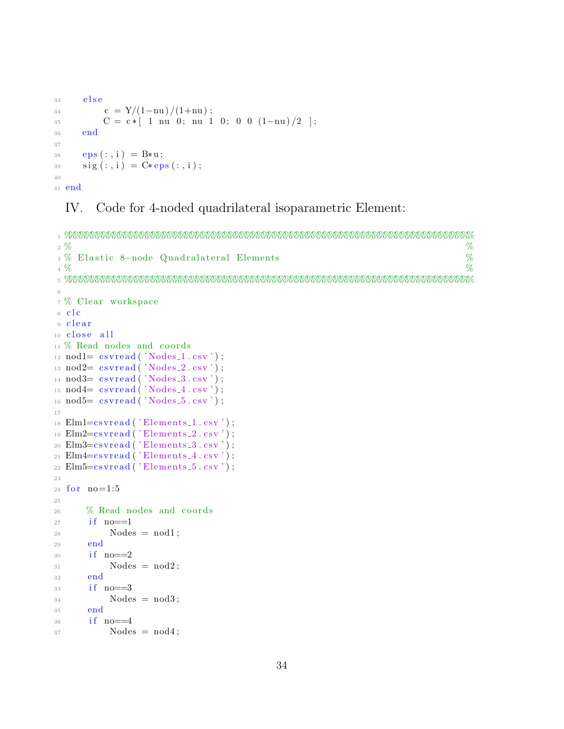```
33 else
34 c = Y/(1-nu)/(1+nu);
35 C = c * [ 1 \text{ nu } 0; \text{ nu } 1 \text{ 0}; 0 \text{ 0 } (1-\text{nu})/2 ];
36 end
37
38 eps (:, i) = B*u;39 sig(:,i) = C*eps(:,i);40
41 end
```
# IV. Code for 4-noded quadrilateral isoparametric Element:

```
1 %%%%%%%%%%%%%%%%%%%%%%%%%%%%%%%%%%%%%%%%%%%%%%%%%%%%%%%%%%%%%%%%%%%%%%%%%%
 2\%3 % E l a s t i c 8−node Q u a d r al a t e r al Elements %
 4\, % \, % \, % \, % \, % \, % \, % \, % \, % \, % \, % \, % \, % \, % \, % \, % \, % \, % \, % \, % \, % \, % \, % \, % \, % \, % \, % \, % \, % \, % \, % \,5 %%%%%%%%%%%%%%%%%%%%%%%%%%%%%%%%%%%%%%%%%%%%%%%%%%%%%%%%%%%%%%%%%%%%%%%%%%
6
7 % Clear workspace
8 clc
9 clear
10 close all
11\% Read nodes and coords
12 \text{nod1} = \text{csvread}(' \text{Nodes}_1 \cdot \text{csv}');13 \text{nod2} = \text{csvread}(' \text{Nodes}_2 \cdot \text{csv}');14 nod3 = csvread('Nodes.3.csv');_{15} nod_{4} csvread ('Nodes<sub>-4.csv</sub>');
_{16} nod5= csvread ('Nodes_5.csv');
17
18 Elm1=cs v read ( 'Elements 1 . csv ');
19 Elm2 = cs v r e a d ( 'Elements 2 \cdot cs v ');
20 \text{Elm3} = \text{csvread} ('Elements -3 \cdot \text{csv}');
_{21} Elm4=csvread ('Elements<sub>-4</sub>.csv');
_{22} Elm5=c s v r e ad ( ' Element s _{5} . c s v ' );
23
_{24} for no=1:525
26 % Read nodes and coords
27 if no==1
28 Nodes = nod1;
29 end
30 \text{ if } no = = 231 Nodes = nod2;
32 end
33 if no==3
34 Nodes = nod3;
35 end
36 \quad i \text{f} \quad n0 = 437 Nodes = nod4;
```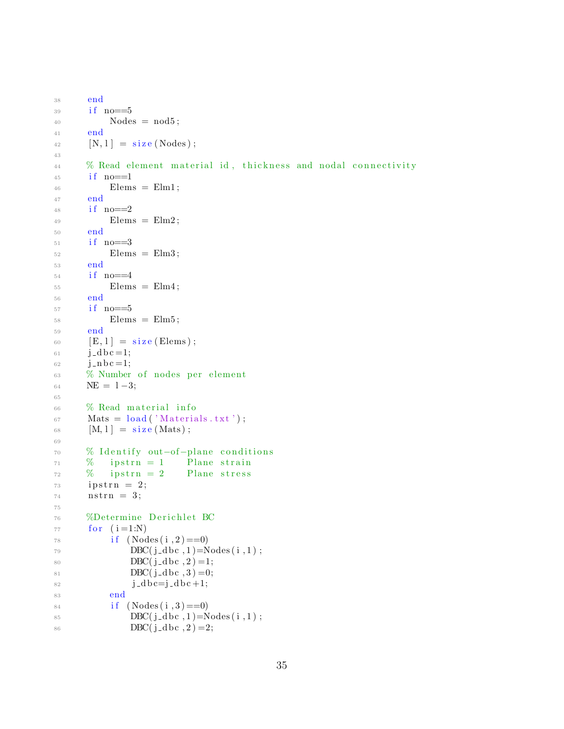```
38 end
39 if no==5
40 Nodes = nod5;
41 end
^{42} [N, 1] = size (Nodes);
43
44 % Read element material id, thickness and nodal connectivity
45 if no==1
^{46} Elems = Elm1;
47 end
48 if no == 2^{49} Elems = Elm2;
50 end
51 if no==3
52 Elems = Elm3;
53 end
^{54} if no==4
55 Elems = Elm4;
56 end
57 if no==5
58 Elems = Elm5;
59 end
60 [E, 1] = size (Elements);61 j_d b c = 1;62 j_n b c = 1;
63 % Number of nodes per element
64 \qquad \text{NE} = 1-3;65
66 % Read material info
\delta<sup>67</sup> Mats = load ('Materials.txt');
68 [M, 1] = size(Mats);
6970 % Identify out-of-plane conditions
\frac{71}{71} % ipstrn = 1 Plane strain
\frac{72}{72} % ipstrn = 2 Plane stress
73 i p s t r n = 2;
74 nstrn = 3;
75
76 %Determine Derichlet BC
77 for (i=1:N)78 if (Nodes(i, 2) == 0)\text{DBC}(j\text{-}dbc, 1) = \text{Nodes}(i, 1);80 DBC(j_dbc, 2) =1;
81 DBC(j_dbc, 3)=0;
82 j_d b c=j_d b c+1;83 end
84 if (Nodes(i, 3) == 0)85 DBC(j_d bc, 1)=Nodes(i, 1);
86 DBC(j_d bc, 2) = 2;
```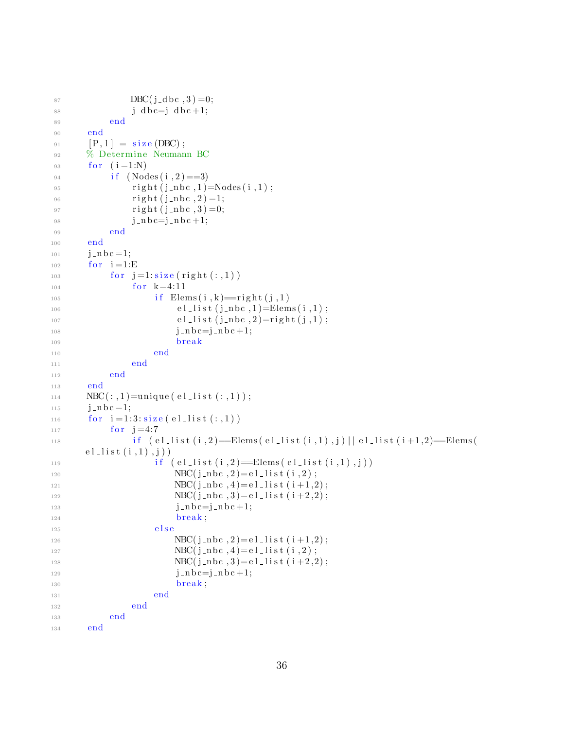```
87 DBC(j_dbc, 3)=0;
88 j_d b c=j_d b c+1;89 end
90 end
91 [P, 1] = size (DBC);
92 % Determine Neumann BC
93 for (i = 1:N)94 if (Nodes(i, 2) == 3)95 \text{right} (j_{\text{in}}bc, 1) = \text{Nodes}(i, 1);96 \text{right} (j_{\text{in}}bc, 2) = 1;97 right (j_{-}nbc, 3) = 0;98 j = nb c = j = nb c + 1;99 end
100 end
101 \quad j = nb = 1;_{102} for i=1:E103 for j=1:size(right(:,1))_{104} for k=4:11105 if Elements (i, k) = right (j, 1)106 e l \text{l}ist (j \text{ } n \text{ } b \text{ } c \text{ } , 1) = \text{Elements} (i \text{ } , 1);
_{107} el \text{list (j_nbc,2)} = \text{right}(j,1);108 j = nb c = j = nb c + 1;109 break
110 end
111 end
112 end
113 end
114 NBC(:,1)=unique (el -list (:,1));
115 j = nb c = 1;116 for i = 1:3: size (el\_list(:,1))117 for j = 4:7\text{if} \ (\text{el-list} (i, 2) \equiv \text{Elements} (\text{el-list} (i, 1), j) || \text{el-list} (i+1, 2) \equiv \text{Elements} (i+1, 2)el\_list(i,1), j)119 i f ( e l l i s t ( i , 2 )==Elems ( e l l i s t ( i , 1 ) , j ) )
120 NBC(j_nbc, 2) = e l_l is t (i, 2);NBC(j_nbc, 4) = e1_{1}is t (i+1, 2);NBC(j_nbc, 3) = e1. list (i+2, 2);j = nb = j = nb +1;124 break ;
125 e l s e
126 NBC(j_nbc, 2) = e1_{}list(i+1, 2);NBC(j_nbc, 4) = e l_{1}ist(i, 2);128 NBC(j_nbc, 3) = e l_lis t (i+2,2);129 j = nbc = j_nb + 1;130 break;
131 end
132 end
133 end
134 end
```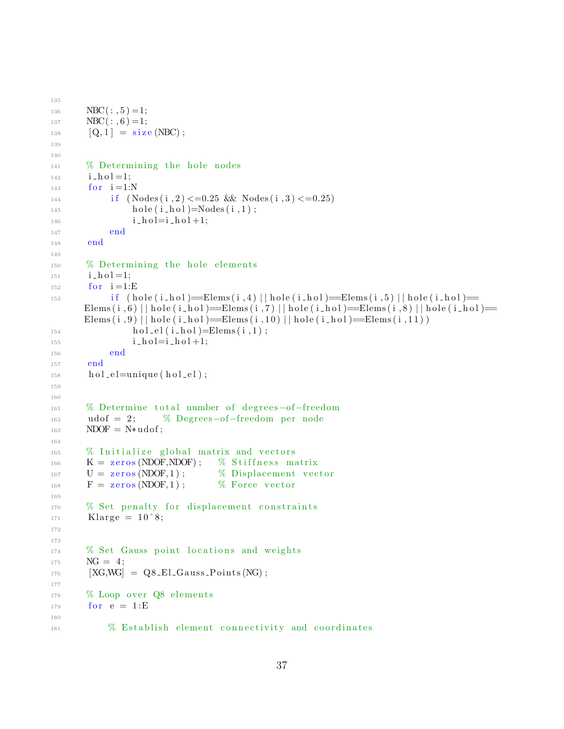```
135
136 NBC(:, 5) = 1;
137 NBC(:,6)=1;
138 [Q, 1] = \text{size} (\text{NBC});
139
140
141 % Determining the hole nodes
142 i _h o l = 1;
_{143} for i = 1:N144 if (Nodes(i, 2) \leq 0.25 \& Nodes(i, 3) \leq 0.25)_{145} hole (i_{\text{hol}})=Nodes (i_{,1});
i_{146} i_{10}l = i_{10}l + 1;147 end
148 end
149
\frac{150}{20} % Determining the hole elements
151 i h o l = 1;
_{152} for i=1:E153 if (hole(i_hol) = \text{Elements}(i, 4) \mid hole(i_hol) = \text{Elements}(i, 5) \mid hole(i_hol) =Elems (i, 6) || hole (i\_hol)=Elems (i, 7) || hole (i\_hol)=Elems (i, 8) || hole (i\_hol)=
      Elems (i, 9) | | hole (i \text{--} hol)= Elems (i, 10) | | hole (i \text{--} hol) = Elems (i, 11) )
\text{hol} _{el} (i \text{ } \text{hol}) = \text{Elements} (i \text{ }, 1) ;i = h o l = i - h o l + 1;156 end
157 end
_{158} hol_el=unique (hol_el);
159
160
161 % Determine total number of degrees-of-freedom
_{162} udof = 2; % Degrees-of-freedom per node
163 NDOF = N*udof;
164
165 % Initialize global matrix and vectors
_{166} K = zeros (NDOF, NDOF); % Stiffness matrix
U = \text{zeros}(\text{NDOF}, 1); \qquad \%\text{Displacement vector}F = \text{zeros}(\text{NDOF}, 1); % Force vector
169
170 % Set penalty for displacement constraints
171 Klarge = 10^{\degree}8;
172
173
174 % Set Gauss point locations and weights
NG = 4;176 [XG,WG] = Q8_El_Gauss_Points (NG);
177
178 % Loop over \overline{Q8} elements
179 for e = 1: E180
181 % Establish element connectivity and coordinates
```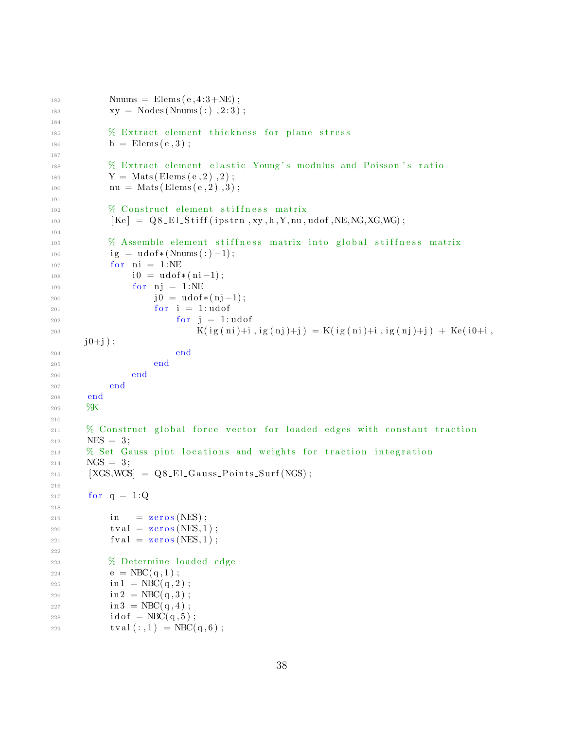```
182 Nnums = Elems (e, 4:3+NE);
\text{183} \quad \text{xy} = \text{Nodes}(\text{Nnums}(:), 2:3);184
185 % Extract element thickness for plane stress
h = \text{Elems}(e, 3);
187
188 % Extract element elastic Young's modulus and Poisson's ratio
189 Y = \text{Mats}(\text{Elements}(e, 2), 2);190 nu = Mats(Elements(e, 2), 3);191
192 % Construct element stiffness matrix
[Ke] = Q8 El Stiff (ipstrn, xy, h, Y, nu, udof, NE, NG, XG, WG);
194
195 % Assemble element stiffness matrix into global stiffness matrix
196 ig = u \text{dof} * (Nnums(:) - 1);197 for ni = 1:NE
198 i 0 = udof *(ni -1);
_{199} for \text{ni} = 1:NE200 \t j0 = u\text{dof}*(nj-1);201 for i = 1: udof202 for j = 1: udof203 K( ig ( ni )+i , ig ( nj )+j ) = K( ig ( ni )+i , ig ( nj )+j ) + Ke ( i0+i ,
     j0+j ;
204 end
205 end
206 end
207 end
208 end
209 \%K210
211 % Construct global force vector for loaded edges with constant traction
212 NES = 3;
213 % Set Gauss pint locations and weights for traction integration
_{214} NGS = 3;
215 [XGS, WGS] = Q8_E1_G a uss_P oints_Surf (NGS);
216
217 for q = 1:Q218
219 in = zeros (NES);
220 \quad \text{t val} = \text{zeros}(\text{NES}, 1);
221 \quad \text{fval} = \text{zeros}(\text{NES}, 1);
222
223 % Determine loaded edge
224 e = NBC(q, 1);
225 in 1 = NBC(q, 2);
226 in 2 = NBC(q,3);
227 in 3 = NBC(q, 4);
228 id o f = NBC(q, 5);
229 \text{t val}(:,1) = \text{NBC}(q, 6);
```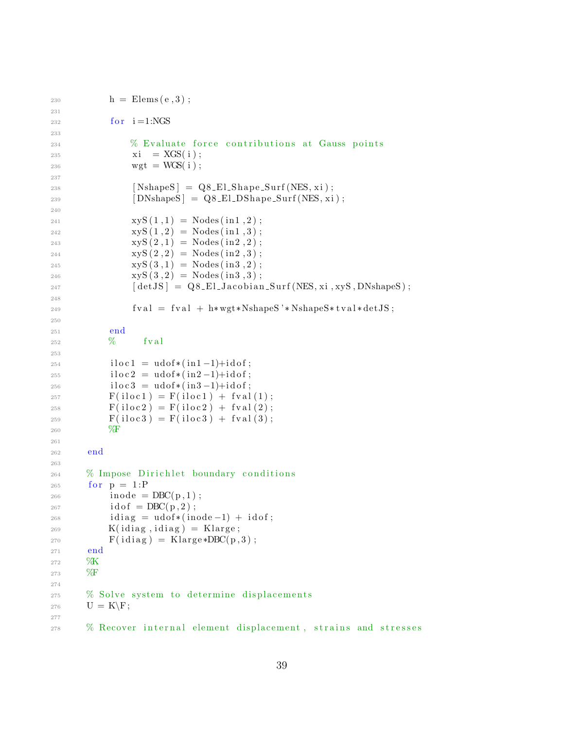```
230
           h =Elems(e, 3);
231
           for i=1:NGS232
233
               % Evaluate force contributions at Gauss points
234
               xi = XGS(i);235
               wgt = WGS(i);236
237
                [NshapeS] = Q8_E1_Shape_Surf(NES, xi);238
                [DNshapeS] = Q8_E1_DShape_Surf(NES, xi);239
240
               xyz(1,1) = Nodes(in1,2);241
               xyz(1,2) = Nodes(in1,3);242
               xyz(2,1) = \text{Nodes}(in2,2);243
               xyz(2,2) = Nodes(in2,3);244245
               xyS(3,1) = \text{Nodes}(in3,2):
               xyz(3,2) = Nodes(in3,3);246
               247
248
               fval = fval + h* wgt * NshapeS' * NshapeS * tval * detJS;249
250
           end
251
           %fval
252
253
           iloc1 = udof*(in1-1)+idof;254
           iloc2 = udof*(in2-1)+idof;255
           iloc3 = udof*(in3-1)+idof;256
           F(idoc1) = F(idc1) + fval(1);257
           F(iloc2) = F(iloc2) + fval(2);258
           F(iloc3) = F(iloc3) + fval(3);250
           \%F
260
261
       end
262
263
      % Impose Dirichlet boundary conditions
264
       for p = 1:P265
           inode = DBC(p,1);266
           idof = DBC(p, 2);267
           idiag = udof*(inode-1) + idof;268
           K(idiag, idiag) = Klarge;269
           F(idiag) = Klarge *DBC(p,3);270271
       end
      ØК
272
      %F
273
274
      % Solve system to determine displacements
275
       U = K\ F;276
277
      % Recover internal element displacement, strains and stresses
278
```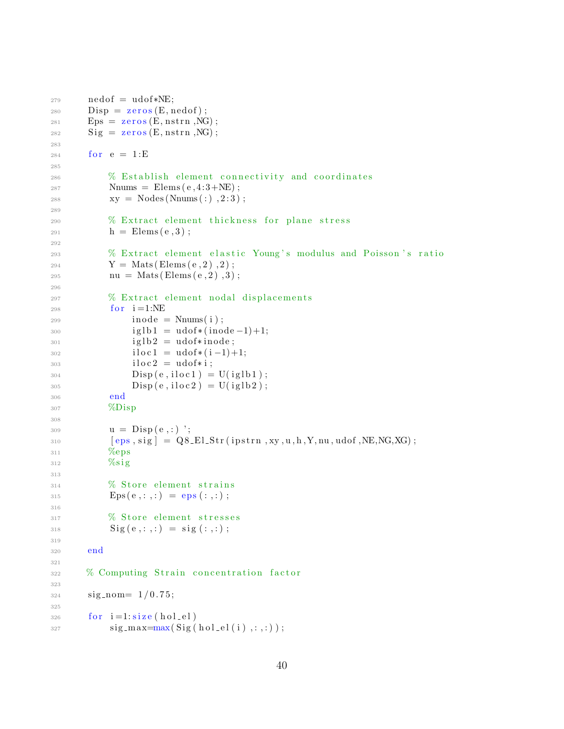```
279
        \text{nedof} = \text{udof}*\text{NE};\rho = zeros (E, nedof);
280
        Eps = zeros(E, nstrn, NG);281
        Sig = zeros(E, nstrn, NG);282
283
        for e = 1:E284
285
             % Establish element connectivity and coordinates
286
             Nnums = \text{Elements}(\text{e}, 4:3+\text{NE});287
             xy = Nodes(Nnums(:), 2:3);288
289
             % Extract element thickness for plane stress
290
             h =Elems(e, 3);
291
292
             % Extract element elastic Young's modulus and Poisson's ratio
203
             Y = \text{Mats}(\text{Elems}(e, 2), 2);
294
             nu = Mats(Elements(e, 2), 3);295
296
             % Extract element nodal displacements
297
             for i=1:NE298
                  inode = \text{Nnums}(i);299
                  iglb1 = udof*(inode-1)+1;300
                  iglb2 = udof*inode;301
                  iloc1 = udof * (i-1)+1;302
                  iloc2 = udof*i;303
                  Disp(e, iloc1) = U(iglb1);304
                  \text{Disp}(e, \text{iloc2}) = \text{U}(\text{iglb2});305
             end
306
             %Disp
307
308
             u = Disp(e, :)';
309
             [eps, sig] = Q8.El-Str(ipstr, xy, u, h, Y, nu, udf, NE, NG, XG);310\%eps
311
             \%sig
312
313
             % Store element strains
314
             Eps(e, : , : ) =eps(:, : );
315
316
             % Store element stresses
317
             \text{Sig}(e, :, :) = \text{sig}( :, :);318
319
        end
320
321
        % Computing Strain concentration factor
322
323
        signnom=1/0.75;324
325
        for i=1: size(hol-el)326
             sig\_max=max(Sig(hol-el(i),:,:));327
```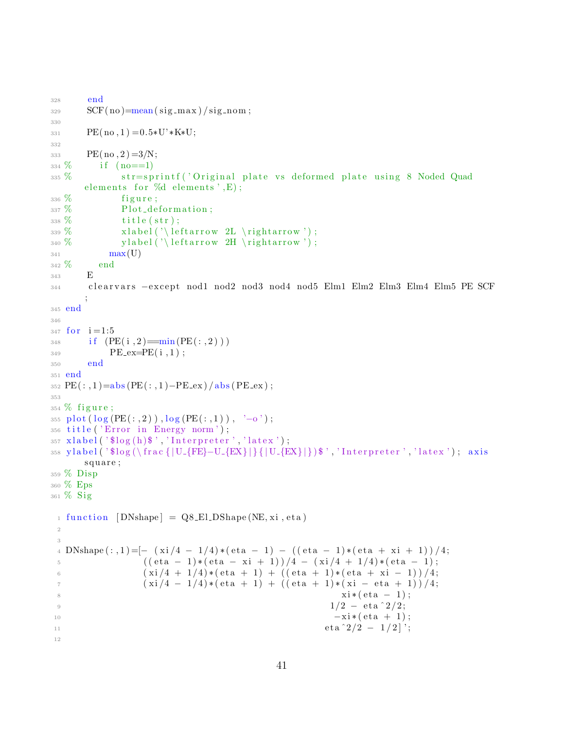```
328 end
SCF(no) = mean(sig_max) / sig-nom;330
B_{331} PE(no, 1) = 0.5 *U' *K*U;
332
_{333} PE(no, 2) =3/N;
334\% if (no==1)335 % str=sprintf ('Original plate vs deformed plate using 8 Noded Quad
      elements for \%d elements', E);
336\% figure;
337\% Plot_deformation;
338\% title (str);339\% x label ('\leftarrow 2L\rightarrow');
340\% y label ('\leftarrow 2H \rightarrow');
341 \qquad \qquad \max(U)342 % end
343 E
344 c l e a r v a r s −e x c e p t nod1 nod2 nod3 nod4 nod5 Elm1 Elm2 Elm3 Elm4 Elm5 PE SCF
      ;
345 end
346
347 for i = 1:5_{348} if (PE(i, 2) = min(PE(:, 2)) )B = P \cdot P \cdot E = \cdot P \cdot F \cdot (i, 1);
350 end
351 end
352 PE(:,1)=abs(PE(:,1)-PE\_ex)/abs(PE\_ex);
353
354\% figure;
355 plot (\log (PE(:, 2)), \log (PE(:, 1)), '-o');
356 title ('Error in Energy norm');
357 \text{ xlabel}('}} ('$log(h)$','Interpreter','latex');
358 y label ( ' $log ( \ frac { | U_{FE}-U_{EX} | } { | U_{EX} | } ) $ ', ' Interpreter ', ' latex '); axis
     square;
359 % Disp
360 % Eps
361 % Sig
 _1 function [DNshape] = Q8_El_DShape (NE, xi, eta)
 2
 3
 4 DNshape (:, 1) = [-(xi/4 - 1/4)*(eta - 1) - ((eta - 1)*(eta + xi + 1))/4;5 ((eta - 1)*(eta - xi + 1))/4 - (xi/4 + 1/4)*(eta - 1);6 (xi/4 + 1/4)*(eta + 1) + ((eta + 1)*(eta + xi - 1))/4;\frac{x}{7} ( xi /4 - 1/4) *(eta + 1) + ((eta + 1) *(xi - eta + 1)) /4;
 8 \times i * (eta - 1);9 1/2 - \text{eta}^2/2;-xi * (eta + 1);11 eta<sup>2/2</sup> - 1/2]<sup>'</sup>;
12
```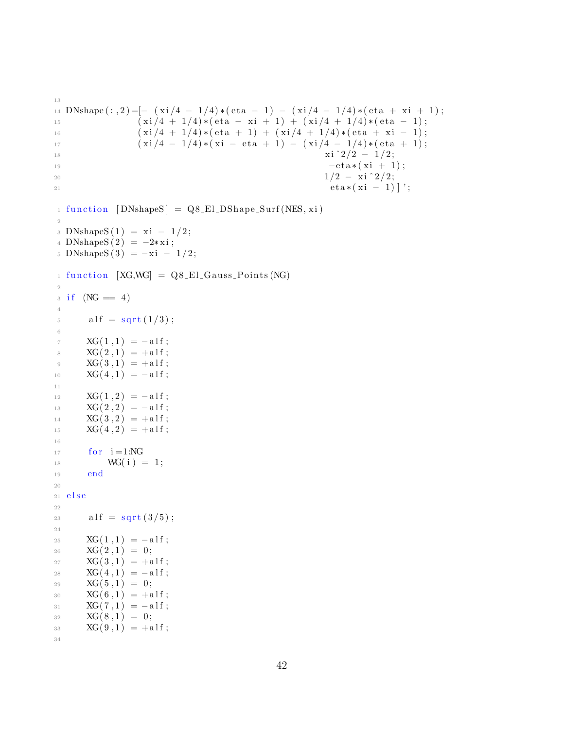```
DNshape (:, 2) = [- (xi/4 - 1/4) * (eta - 1) - (xi/4 - 1/4) * (eta + xi + 1);14\,(xi/4 + 1/4)*(eta - xi + 1) + (xi/4 + 1/4)*(eta - 1);15
                  (xi/4 + 1/4)*(eta + 1) + (xi/4 + 1/4)*(eta + xi - 1);16
                  (xi/4 - 1/4)*(xi - eta + 1) - (xi/4 - 1/4)*(eta + 1);17
                                                          xi^2/2 - 1/2;18
                                                           -eta*(xi + 1);191/2 - xi^2/2;20
                                                           eta*(xi - 1) ;
2\sqrt{1}_1 function [DNshapeS] = Q8_E1_DShape_Surf(NES, xi)
\overline{2}3 DNshapeS(1) = xi - 1/2;4 DNshapeS(2) = -2 \cdot x i;
5 DNshapeS(3) = -xi - 1/2;
_1 function [XG, WG] = Q8_E1_Gauss_Points (NG)
\overline{2}3 if (NG = 4)\overline{4}alf = sqrt(1/3);
\rm 56\phantom{a}XG(1,1) = -a1f;\overline{7}XG(2,1) = +a1f;8
       XG(3,1) = +a1f;\mathbf 9XG(4,1) = -a1f;10\,1\,1XG(1,2) = -a1f;12
       XG(2,2) = -a1f;13
       XG(3,2) = +\text{alf};14XG(4,2) = +a1f;15\,16
       for i=1:NG17
           WG(i) = 1;18
       end
19
20
  else
21
22
       alf = sqrt(3/5);
23
24
       XG(1,1) = -a1f;25XG(2,1) = 0;26
       XG(3,1) = +a1f;27
       XG(4,1) = -a1f;28
       XG(5,1) = 0;29
       XG(6,1) = +\text{alf};30
       XG(7,1) = -a1f;31XG(8,1) = 0;32
       XG(9,1) = +a1f;33
34
```
13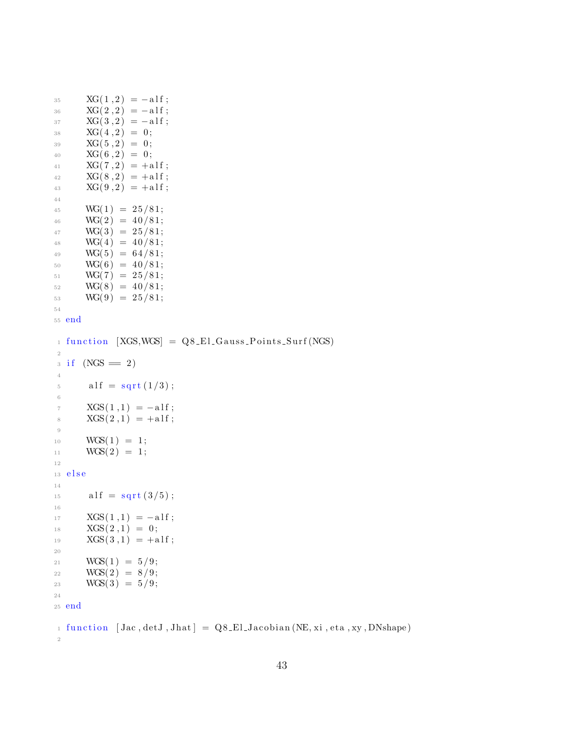```
35 XG(1,2) = -a1f;36 XG(2,2) = -a1f;37 XG(3,2) = -a1f;38 XG(4,2) = 0;\text{XG}(5,2) = 0;40 XG(6,2) = 0;41 XG(7,2) = +a1f;42 XG(8,2) = +a1f;43 XG(9,2) = +a1f;44
45 WG(1) = 25/81;
46 WG(2) = 40/81;
47 \text{ WG}(3) = 25/81;48 WG(4) = 40/81;
49 WG(5) = 64/81;
50 WG(6) = 40/81;
51 WG(7) = 25/81;
52 \text{ WG}(8) = 40/81;53 \text{ WG}(9) = 25/81;54
55 end
_1 function [XGS, WGS] = QS\_El_Gauss\_Points\_Surf(NGS)2
3 \text{ if } (NGS = 2)4
15 alf = sqrt (1/3);
6
7 XGS(1,1) = -a1f;8 XGS(2,1) = +a1f;9
10 WGS(1) = 1;
11 WGS( 2) = 1;
12
13 e l s e
14
15 alf = sqrt(3/5);
16
\text{XGS}(1,1) = -\text{alf};\text{NGS}(2,1) = 0;19 XGS(3,1) = +a1f;20
21 WGS(1) = 5/9;
22 WGS(2) = 8/9;
23 WGS(3) = 5/9;24
25 end
1 function [Jac, detJ, Jhat] = Q8_El_Jacobian (NE, xi, eta, xy, DNshape)
```

```
2
```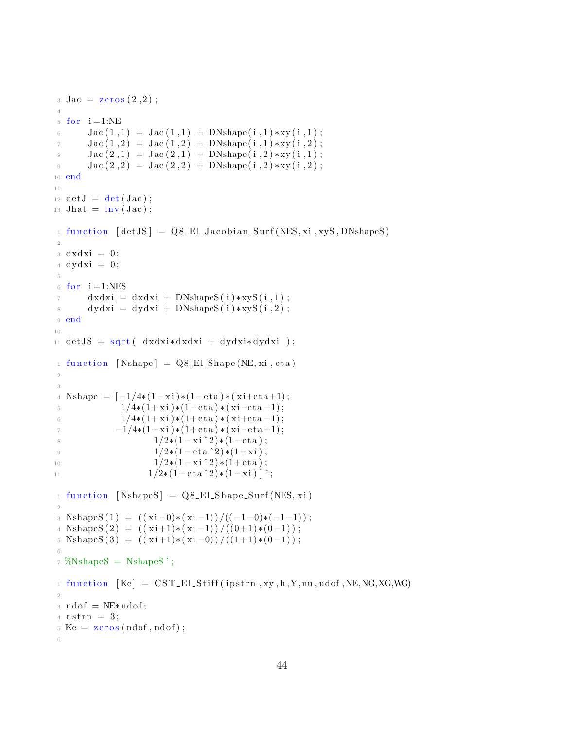```
3 \text{ Jac} = \text{zeros}(2,2);\overline{4}5 for i=1:NEJac(1,1) = Jac(1,1) + DNShape(i,1) * xy(i,1);\, \, \,Jac(1,2) = Jac(1,2) + DNshape(i,1) * xy(i,2);\overline{7}Jac(2,1) = Jac(2,1) + DNshape(i,2) * xy(i,1);8
        Jac(2,2) = Jac(2,2) + DNShape(i,2) * xy(i,2);\overline{9}10 end
11_{12} det J = det (Jac);13 Jhat = inv(Jac);
   function [detJS] = Q8_E1_Jacobian_Surf(NES, xi, xyS, DNshapeS)
1\,\overline{2}3 \text{ d}x \text{d}x \text{i} = 0;4 \text{ dydx} = 0;
\overline{5}6 for i=1:NES
        dxdxi = dxdxi + DNshapeS(i) * xyS(i, 1);\overline{7}dydxi = dydxi + DNshapeS(i) * xyS(i, 2);8
\,9end
10
11 detJS = sqrt( dxdx i * dxdxi + dydx i * dydx i);1 function [Nshape] = Q8_El_Shape(NE, xi, eta)
\overline{2}\sqrt{3}Nshape = [-1/4*(1-xi)*(1-eta)*(xi+eta+1);\overline{4}1/4*(1+xi)*(1-eta)*(xi-eta-1);\overline{5}1/4*(1+xi)*(1+eta)*(xi+eta-1);\kappa-1/4*(1-xi)*(1+eta)*(xi-eta+1);\overline{7}1/2*(1-xi^2)*(1-eta);
\overline{\mathcal{S}}1/2*(1-\text{eta}^2)*(1+\text{xi});\overline{9}1/2*(1-xi^2)*(1+eta);10
                        1/2*(1-\text{eta}^2)*(1-\text{x}i) ';
11function [NshapeS] = Q8_El_Shape_Surf(NES, xi)
\mathbf{1}\overline{2}3 NshapeS(1) = ((xi-0)*(xi-1))/((-1-0)*(-1-1));4 NshapeS(2) = ((xi+1)*(xi-1))/( (0+1)*(0-1));5 NshapeS(3) = ((xi+1)*(xi-0))/(1+1)*(0-1);
6\phantom{a}6\frac{1}{7} %NshapeS = NshapeS ';
_1 function [Ke] = \text{CST-EL-Stiff}(ipstrn, xy, h, Y, nu, udf, NE, NG, XG, WG)\overline{2}: \text{ndof} = \text{NE}* \text{udof};4 \text{ nstrn} = 3;5 \text{ Ke} = \text{zeros}(\text{ndof}, \text{ndof});
6\overline{6}
```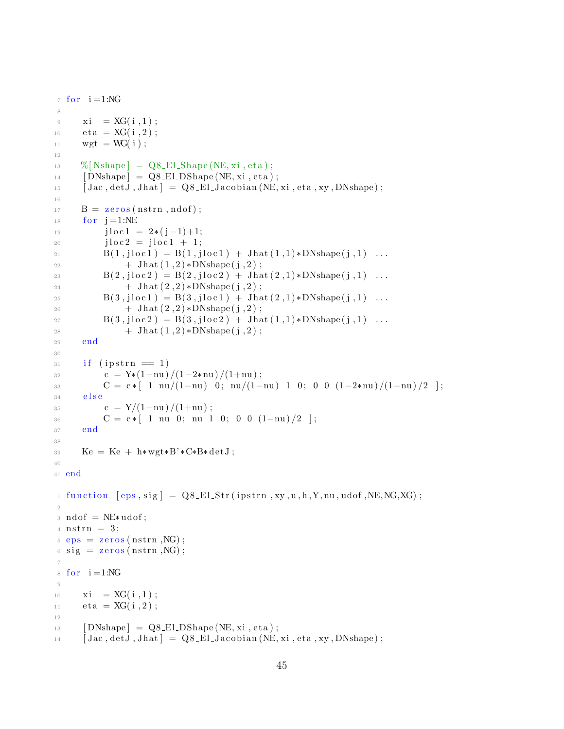```
\tau for i = 1:NG8
9 xi = XG(i, 1);10 eta = XG(i, 2);11 wgt = WG( i );
12
^{13} %[Nshape] = Q8_El_Shape (NE, xi, eta);
14 [DNshape] = Q8_El_DShape (NE, xi, eta);
15 [ Jac , detJ, Jhat ] = Q8_El_Jacobian (NE, xi, eta, xy, DNshape);
16
B = \text{zeros}(\text{nstrn}, \text{ndof});18 for j = 1:NE19 j l o c 1 = 2*(j-1)+1;20 j \log 2 = j \log 1 + 1;21 B(1, jloc1) = B(1, jloc1) + Jhat(1, 1) * DNshape(j, 1) ...22 + \text{Jhat}(1,2) * \text{DNshape}(j,2);23 B(2,j\ln c2) = B(2,j\ln c2) + J\ln (2,1) * DN\nshape (j,1) ...24 + \text{Jhat}(2,2) * \text{DNshape}(j,2);
25 B(3,jloc1) = B(3,jloc1) + Jhat(2,1) * DNshape(j,1) ...26 + \text{Jhat}(2,2) * \text{DNshape}(j,2);
B(3, i \text{loc } 2) = B(3, i \text{loc } 2) + \text{Jhat}(1, 1) * \text{DNshape}(i, 1) \dots28 + \text{Jhat}(1,2) * \text{DNshape}(j,2);
29 end
30
31 if (ipstrn = 1)
32 c = Y*(1-nu) /(1-2*nu) /(1+nu) ;
33 C = c * [ 1 nu/(1-nu) 0; nu/(1-nu) 1 0; 0 0 (1-2*nu)/(1-nu)/2 ];
34 e l s e
35 c = Y/(1-nu)/(1+nu);
36 C = c * [ 1 nu 0; nu 1 0; 0 0 (1-nu)/2 ];
37 end
38
39 Ke = Ke + h*wgt*B'*C*B*detJ;
40
41 end
1 function [eps, sig] = Q8_E1_Str(ipstr, xy, u, h, Y, nu, udf, NE, NG, XG);2
_3 \text{ ndof } = \text{NE}* \text{udof};
4 \text{ nstrn} = 3;
= eps = zeros (nstrn, NG);
6 \text{ sig} = \text{zeros}(\text{nstrn},\text{NG});7
\text{for } i = 1:\text{NG}9
10 xi = XG(i, 1);11 eta = XG(i, 2);
12
13 [ DNshape ] = Q8_El_DShape (NE, xi, et a );
14 [ Jac , det J, Jhat ] = Q8_El_Jacobian (NE, xi, eta, xy, DNshape);
```

```
45
```